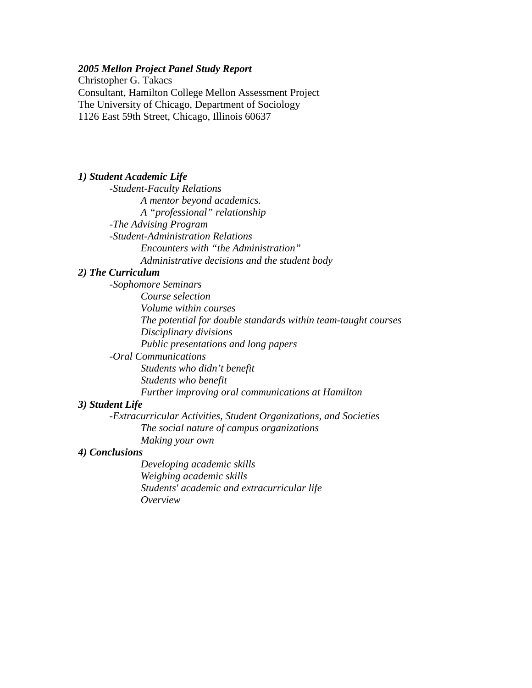## *2005 Mellon Project Panel Study Report*

Christopher G. Takacs Consultant, Hamilton College Mellon Assessment Project The University of Chicago, Department of Sociology 1126 East 59th Street, Chicago, Illinois 60637

### *1) Student Academic Life*

 *-Student-Faculty Relations A mentor beyond academics. A "professional" relationship -The Advising Program -Student-Administration Relations Encounters with "the Administration" Administrative decisions and the student body* 

## *2) The Curriculum*

 *-Sophomore Seminars Course selection Volume within courses The potential for double standards within team-taught courses Disciplinary divisions Public presentations and long papers -Oral Communications Students who didn't benefit Students who benefit Further improving oral communications at Hamilton* 

## *3) Student Life*

 *-Extracurricular Activities, Student Organizations, and Societies The social nature of campus organizations Making your own* 

### *4) Conclusions*

 *Developing academic skills Weighing academic skills Students' academic and extracurricular life Overview*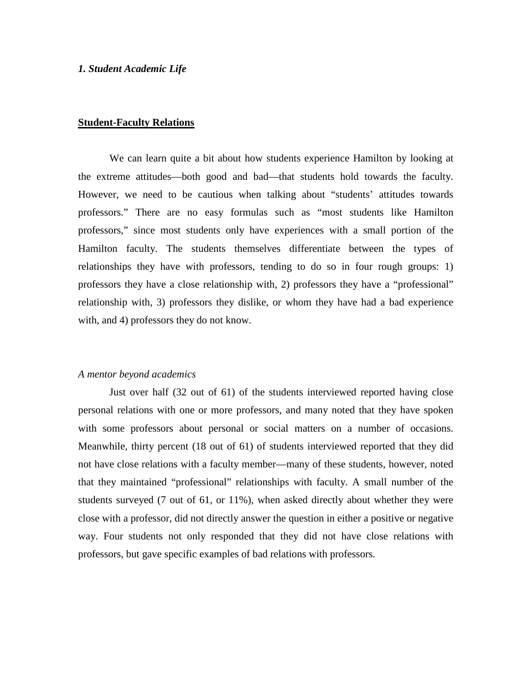#### *1. Student Academic Life*

#### **Student-Faculty Relations**

We can learn quite a bit about how students experience Hamilton by looking at the extreme attitudes—both good and bad—that students hold towards the faculty. However, we need to be cautious when talking about "students' attitudes towards professors." There are no easy formulas such as "most students like Hamilton professors," since most students only have experiences with a small portion of the Hamilton faculty. The students themselves differentiate between the types of relationships they have with professors, tending to do so in four rough groups: 1) professors they have a close relationship with, 2) professors they have a "professional" relationship with, 3) professors they dislike, or whom they have had a bad experience with, and 4) professors they do not know.

## *A mentor beyond academics*

 Just over half (32 out of 61) of the students interviewed reported having close personal relations with one or more professors, and many noted that they have spoken with some professors about personal or social matters on a number of occasions. Meanwhile, thirty percent (18 out of 61) of students interviewed reported that they did not have close relations with a faculty member—many of these students, however, noted that they maintained "professional" relationships with faculty. A small number of the students surveyed (7 out of 61, or 11%), when asked directly about whether they were close with a professor, did not directly answer the question in either a positive or negative way. Four students not only responded that they did not have close relations with professors, but gave specific examples of bad relations with professors.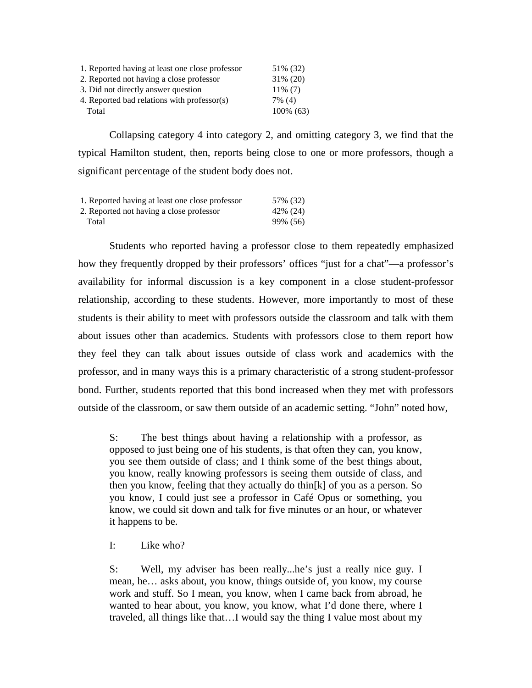| 1. Reported having at least one close professor | 51\% (32)    |
|-------------------------------------------------|--------------|
| 2. Reported not having a close professor        | $31\% (20)$  |
| 3. Did not directly answer question             | $11\%$ (7)   |
| 4. Reported bad relations with professor(s)     | 7% (4)       |
| Total                                           | $100\%$ (63) |

Collapsing category 4 into category 2, and omitting category 3, we find that the typical Hamilton student, then, reports being close to one or more professors, though a significant percentage of the student body does not.

| 1. Reported having at least one close professor | 57% (32)  |
|-------------------------------------------------|-----------|
| 2. Reported not having a close professor        | 42\% (24) |
| Total                                           | 99% (56)  |

Students who reported having a professor close to them repeatedly emphasized how they frequently dropped by their professors' offices "just for a chat"—a professor's availability for informal discussion is a key component in a close student-professor relationship, according to these students. However, more importantly to most of these students is their ability to meet with professors outside the classroom and talk with them about issues other than academics. Students with professors close to them report how they feel they can talk about issues outside of class work and academics with the professor, and in many ways this is a primary characteristic of a strong student-professor bond. Further, students reported that this bond increased when they met with professors outside of the classroom, or saw them outside of an academic setting. "John" noted how,

S: The best things about having a relationship with a professor, as opposed to just being one of his students, is that often they can, you know, you see them outside of class; and I think some of the best things about, you know, really knowing professors is seeing them outside of class, and then you know, feeling that they actually do thin[k] of you as a person. So you know, I could just see a professor in Café Opus or something, you know, we could sit down and talk for five minutes or an hour, or whatever it happens to be.

I: Like who?

S: Well, my adviser has been really...he's just a really nice guy. I mean, he… asks about, you know, things outside of, you know, my course work and stuff. So I mean, you know, when I came back from abroad, he wanted to hear about, you know, you know, what I'd done there, where I traveled, all things like that…I would say the thing I value most about my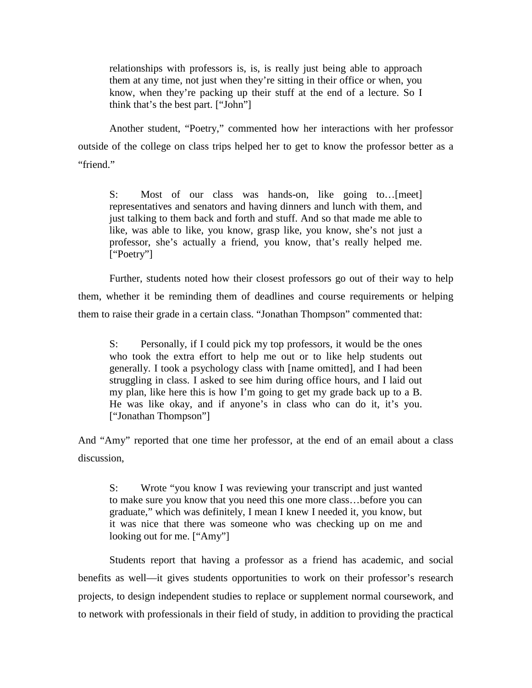relationships with professors is, is, is really just being able to approach them at any time, not just when they're sitting in their office or when, you know, when they're packing up their stuff at the end of a lecture. So I think that's the best part. ["John"]

Another student, "Poetry," commented how her interactions with her professor outside of the college on class trips helped her to get to know the professor better as a "friend."

S: Most of our class was hands-on, like going to…[meet] representatives and senators and having dinners and lunch with them, and just talking to them back and forth and stuff. And so that made me able to like, was able to like, you know, grasp like, you know, she's not just a professor, she's actually a friend, you know, that's really helped me. ["Poetry"]

 Further, students noted how their closest professors go out of their way to help them, whether it be reminding them of deadlines and course requirements or helping them to raise their grade in a certain class. "Jonathan Thompson" commented that:

S: Personally, if I could pick my top professors, it would be the ones who took the extra effort to help me out or to like help students out generally. I took a psychology class with [name omitted], and I had been struggling in class. I asked to see him during office hours, and I laid out my plan, like here this is how I'm going to get my grade back up to a B. He was like okay, and if anyone's in class who can do it, it's you. ["Jonathan Thompson"]

And "Amy" reported that one time her professor, at the end of an email about a class discussion,

S: Wrote "you know I was reviewing your transcript and just wanted to make sure you know that you need this one more class…before you can graduate," which was definitely, I mean I knew I needed it, you know, but it was nice that there was someone who was checking up on me and looking out for me. ["Amy"]

 Students report that having a professor as a friend has academic, and social benefits as well—it gives students opportunities to work on their professor's research projects, to design independent studies to replace or supplement normal coursework, and to network with professionals in their field of study, in addition to providing the practical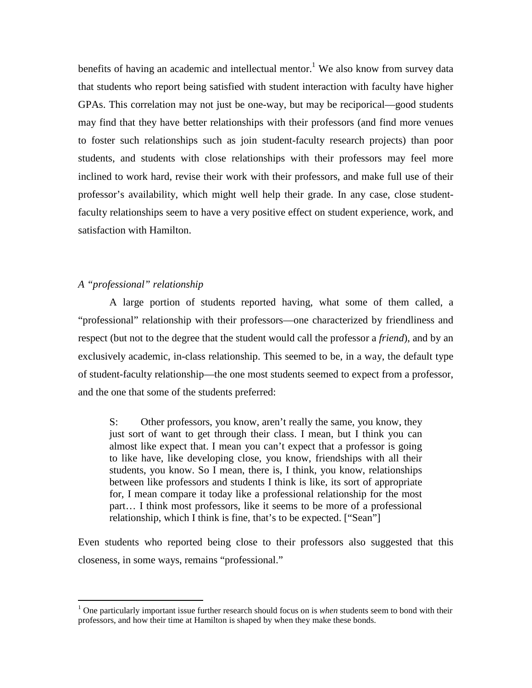benefits of having an academic and intellectual mentor.<sup>1</sup> We also know from survey data that students who report being satisfied with student interaction with faculty have higher GPAs. This correlation may not just be one-way, but may be reciporical—good students may find that they have better relationships with their professors (and find more venues to foster such relationships such as join student-faculty research projects) than poor students, and students with close relationships with their professors may feel more inclined to work hard, revise their work with their professors, and make full use of their professor's availability, which might well help their grade. In any case, close studentfaculty relationships seem to have a very positive effect on student experience, work, and satisfaction with Hamilton.

## *A "professional" relationship*

<u>.</u>

 A large portion of students reported having, what some of them called, a "professional" relationship with their professors—one characterized by friendliness and respect (but not to the degree that the student would call the professor a *friend*), and by an exclusively academic, in-class relationship. This seemed to be, in a way, the default type of student-faculty relationship—the one most students seemed to expect from a professor, and the one that some of the students preferred:

S: Other professors, you know, aren't really the same, you know, they just sort of want to get through their class. I mean, but I think you can almost like expect that. I mean you can't expect that a professor is going to like have, like developing close, you know, friendships with all their students, you know. So I mean, there is, I think, you know, relationships between like professors and students I think is like, its sort of appropriate for, I mean compare it today like a professional relationship for the most part… I think most professors, like it seems to be more of a professional relationship, which I think is fine, that's to be expected. ["Sean"]

Even students who reported being close to their professors also suggested that this closeness, in some ways, remains "professional."

<sup>&</sup>lt;sup>1</sup> One particularly important issue further research should focus on is *when* students seem to bond with their professors, and how their time at Hamilton is shaped by when they make these bonds.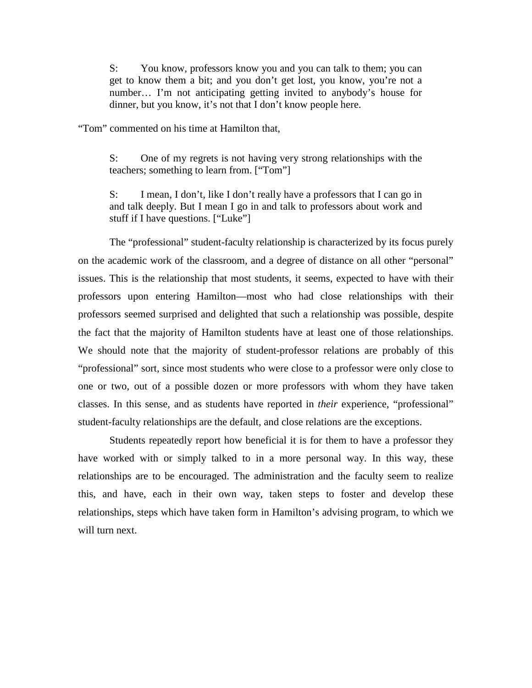S: You know, professors know you and you can talk to them; you can get to know them a bit; and you don't get lost, you know, you're not a number… I'm not anticipating getting invited to anybody's house for dinner, but you know, it's not that I don't know people here.

"Tom" commented on his time at Hamilton that,

S: One of my regrets is not having very strong relationships with the teachers; something to learn from. ["Tom"]

S: I mean, I don't, like I don't really have a professors that I can go in and talk deeply. But I mean I go in and talk to professors about work and stuff if I have questions. ["Luke"]

The "professional" student-faculty relationship is characterized by its focus purely on the academic work of the classroom, and a degree of distance on all other "personal" issues. This is the relationship that most students, it seems, expected to have with their professors upon entering Hamilton—most who had close relationships with their professors seemed surprised and delighted that such a relationship was possible, despite the fact that the majority of Hamilton students have at least one of those relationships. We should note that the majority of student-professor relations are probably of this "professional" sort, since most students who were close to a professor were only close to one or two, out of a possible dozen or more professors with whom they have taken classes. In this sense, and as students have reported in *their* experience, "professional" student-faculty relationships are the default, and close relations are the exceptions.

Students repeatedly report how beneficial it is for them to have a professor they have worked with or simply talked to in a more personal way. In this way, these relationships are to be encouraged. The administration and the faculty seem to realize this, and have, each in their own way, taken steps to foster and develop these relationships, steps which have taken form in Hamilton's advising program, to which we will turn next.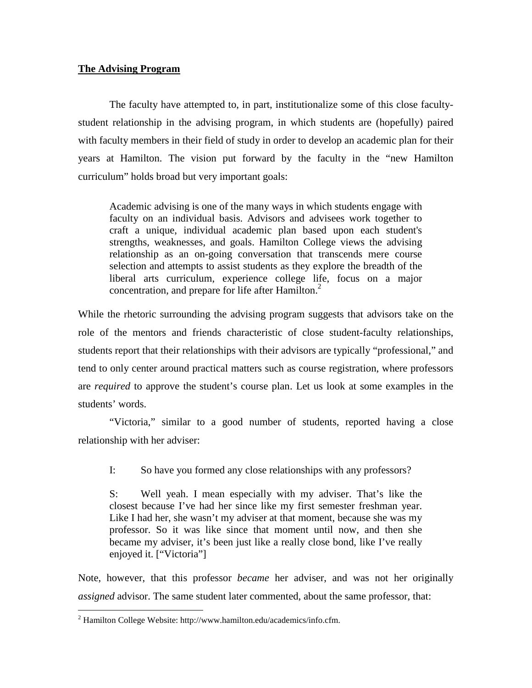## **The Advising Program**

The faculty have attempted to, in part, institutionalize some of this close facultystudent relationship in the advising program, in which students are (hopefully) paired with faculty members in their field of study in order to develop an academic plan for their years at Hamilton. The vision put forward by the faculty in the "new Hamilton curriculum" holds broad but very important goals:

Academic advising is one of the many ways in which students engage with faculty on an individual basis. Advisors and advisees work together to craft a unique, individual academic plan based upon each student's strengths, weaknesses, and goals. Hamilton College views the advising relationship as an on-going conversation that transcends mere course selection and attempts to assist students as they explore the breadth of the liberal arts curriculum, experience college life, focus on a major concentration, and prepare for life after Hamilton. $<sup>2</sup>$ </sup>

While the rhetoric surrounding the advising program suggests that advisors take on the role of the mentors and friends characteristic of close student-faculty relationships, students report that their relationships with their advisors are typically "professional," and tend to only center around practical matters such as course registration, where professors are *required* to approve the student's course plan. Let us look at some examples in the students' words.

"Victoria," similar to a good number of students, reported having a close relationship with her adviser:

I: So have you formed any close relationships with any professors?

S: Well yeah. I mean especially with my adviser. That's like the closest because I've had her since like my first semester freshman year. Like I had her, she wasn't my adviser at that moment, because she was my professor. So it was like since that moment until now, and then she became my adviser, it's been just like a really close bond, like I've really enjoyed it. ["Victoria"]

Note, however, that this professor *became* her adviser, and was not her originally *assigned* advisor. The same student later commented, about the same professor, that:

<u>.</u>

 $2$  Hamilton College Website: http://www.hamilton.edu/academics/info.cfm.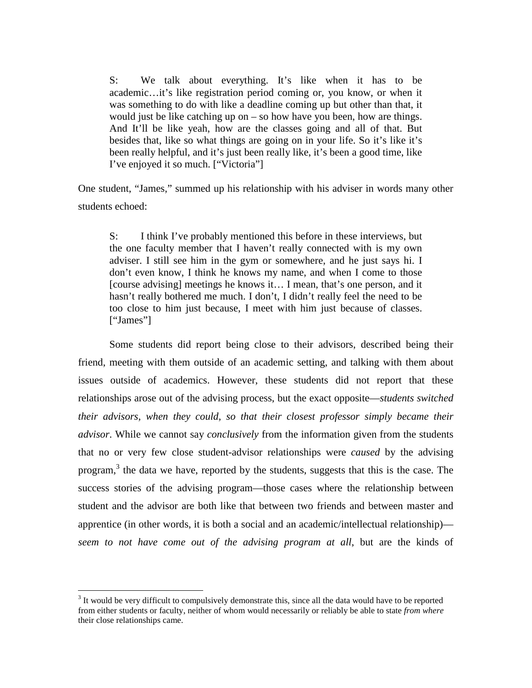S: We talk about everything. It's like when it has to be academic…it's like registration period coming or, you know, or when it was something to do with like a deadline coming up but other than that, it would just be like catching up on – so how have you been, how are things. And It'll be like yeah, how are the classes going and all of that. But besides that, like so what things are going on in your life. So it's like it's been really helpful, and it's just been really like, it's been a good time, like I've enjoyed it so much. ["Victoria"]

One student, "James," summed up his relationship with his adviser in words many other students echoed:

S: I think I've probably mentioned this before in these interviews, but the one faculty member that I haven't really connected with is my own adviser. I still see him in the gym or somewhere, and he just says hi. I don't even know, I think he knows my name, and when I come to those [course advising] meetings he knows it... I mean, that's one person, and it hasn't really bothered me much. I don't, I didn't really feel the need to be too close to him just because, I meet with him just because of classes. ["James"]

 Some students did report being close to their advisors, described being their friend, meeting with them outside of an academic setting, and talking with them about issues outside of academics. However, these students did not report that these relationships arose out of the advising process, but the exact opposite—*students switched their advisors, when they could, so that their closest professor simply became their advisor*. While we cannot say *conclusively* from the information given from the students that no or very few close student-advisor relationships were *caused* by the advising program, $3$  the data we have, reported by the students, suggests that this is the case. The success stories of the advising program—those cases where the relationship between student and the advisor are both like that between two friends and between master and apprentice (in other words, it is both a social and an academic/intellectual relationship) *seem to not have come out of the advising program at all*, but are the kinds of

<u>.</u>

<sup>&</sup>lt;sup>3</sup> It would be very difficult to compulsively demonstrate this, since all the data would have to be reported from either students or faculty, neither of whom would necessarily or reliably be able to state *from where* their close relationships came.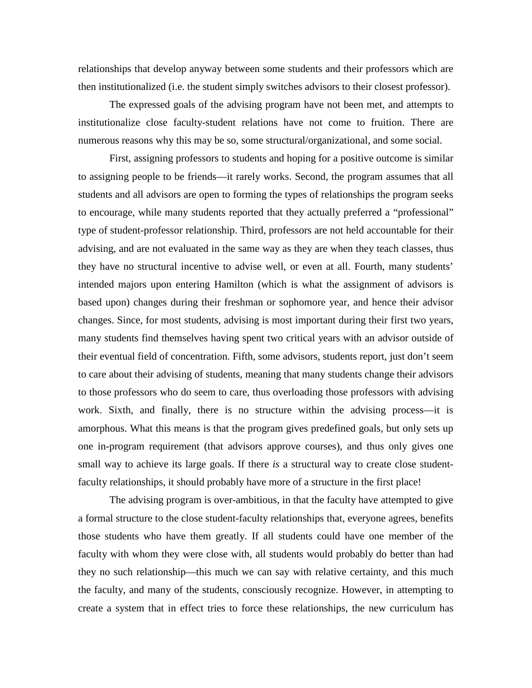relationships that develop anyway between some students and their professors which are then institutionalized (i.e. the student simply switches advisors to their closest professor).

The expressed goals of the advising program have not been met, and attempts to institutionalize close faculty-student relations have not come to fruition. There are numerous reasons why this may be so, some structural/organizational, and some social.

First, assigning professors to students and hoping for a positive outcome is similar to assigning people to be friends—it rarely works. Second, the program assumes that all students and all advisors are open to forming the types of relationships the program seeks to encourage, while many students reported that they actually preferred a "professional" type of student-professor relationship. Third, professors are not held accountable for their advising, and are not evaluated in the same way as they are when they teach classes, thus they have no structural incentive to advise well, or even at all. Fourth, many students' intended majors upon entering Hamilton (which is what the assignment of advisors is based upon) changes during their freshman or sophomore year, and hence their advisor changes. Since, for most students, advising is most important during their first two years, many students find themselves having spent two critical years with an advisor outside of their eventual field of concentration. Fifth, some advisors, students report, just don't seem to care about their advising of students, meaning that many students change their advisors to those professors who do seem to care, thus overloading those professors with advising work. Sixth, and finally, there is no structure within the advising process—it is amorphous. What this means is that the program gives predefined goals, but only sets up one in-program requirement (that advisors approve courses), and thus only gives one small way to achieve its large goals. If there *is* a structural way to create close studentfaculty relationships, it should probably have more of a structure in the first place!

 The advising program is over-ambitious, in that the faculty have attempted to give a formal structure to the close student-faculty relationships that, everyone agrees, benefits those students who have them greatly. If all students could have one member of the faculty with whom they were close with, all students would probably do better than had they no such relationship—this much we can say with relative certainty, and this much the faculty, and many of the students, consciously recognize. However, in attempting to create a system that in effect tries to force these relationships, the new curriculum has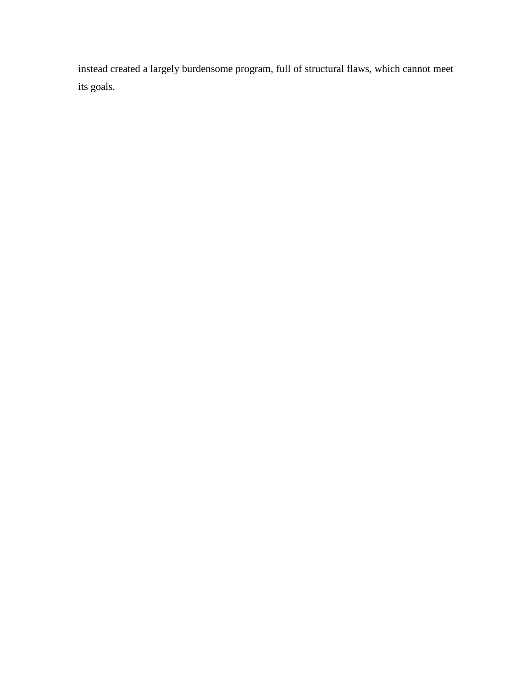instead created a largely burdensome program, full of structural flaws, which cannot meet its goals.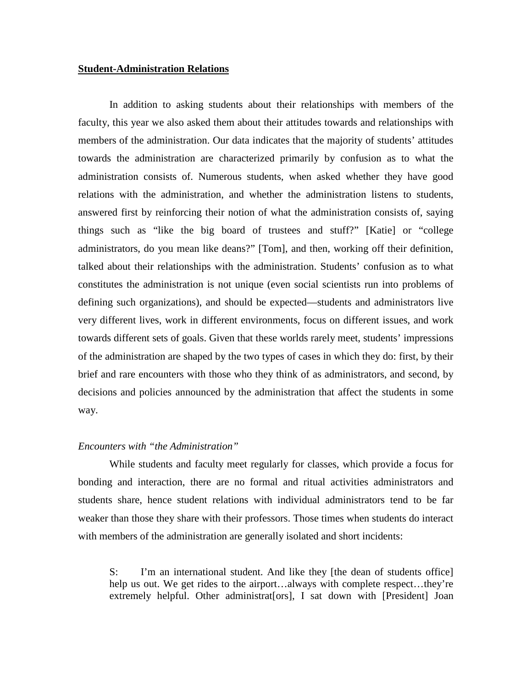#### **Student-Administration Relations**

In addition to asking students about their relationships with members of the faculty, this year we also asked them about their attitudes towards and relationships with members of the administration. Our data indicates that the majority of students' attitudes towards the administration are characterized primarily by confusion as to what the administration consists of. Numerous students, when asked whether they have good relations with the administration, and whether the administration listens to students, answered first by reinforcing their notion of what the administration consists of, saying things such as "like the big board of trustees and stuff?" [Katie] or "college administrators, do you mean like deans?" [Tom], and then, working off their definition, talked about their relationships with the administration. Students' confusion as to what constitutes the administration is not unique (even social scientists run into problems of defining such organizations), and should be expected—students and administrators live very different lives, work in different environments, focus on different issues, and work towards different sets of goals. Given that these worlds rarely meet, students' impressions of the administration are shaped by the two types of cases in which they do: first, by their brief and rare encounters with those who they think of as administrators, and second, by decisions and policies announced by the administration that affect the students in some way.

## *Encounters with "the Administration"*

 While students and faculty meet regularly for classes, which provide a focus for bonding and interaction, there are no formal and ritual activities administrators and students share, hence student relations with individual administrators tend to be far weaker than those they share with their professors. Those times when students do interact with members of the administration are generally isolated and short incidents:

S: I'm an international student. And like they [the dean of students office] help us out. We get rides to the airport...always with complete respect...they're extremely helpful. Other administrat[ors], I sat down with [President] Joan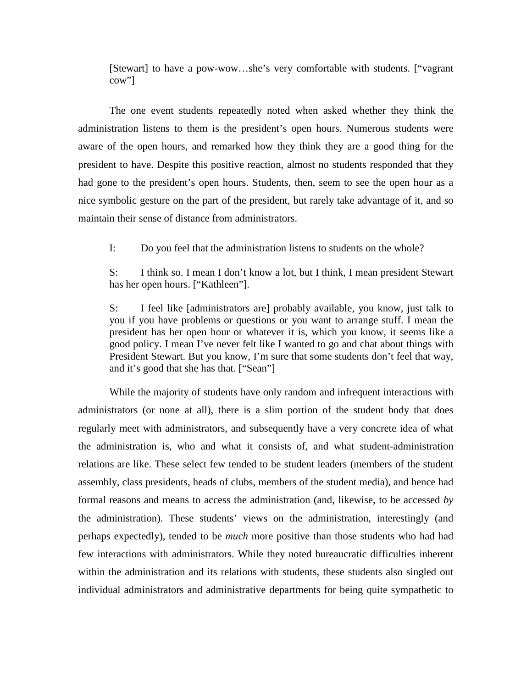[Stewart] to have a pow-wow…she's very comfortable with students. ["vagrant cow"]

 The one event students repeatedly noted when asked whether they think the administration listens to them is the president's open hours. Numerous students were aware of the open hours, and remarked how they think they are a good thing for the president to have. Despite this positive reaction, almost no students responded that they had gone to the president's open hours. Students, then, seem to see the open hour as a nice symbolic gesture on the part of the president, but rarely take advantage of it, and so maintain their sense of distance from administrators.

I: Do you feel that the administration listens to students on the whole?

S: I think so. I mean I don't know a lot, but I think, I mean president Stewart has her open hours. ["Kathleen"].

S: I feel like [administrators are] probably available, you know, just talk to you if you have problems or questions or you want to arrange stuff. I mean the president has her open hour or whatever it is, which you know, it seems like a good policy. I mean I've never felt like I wanted to go and chat about things with President Stewart. But you know, I'm sure that some students don't feel that way, and it's good that she has that. ["Sean"]

While the majority of students have only random and infrequent interactions with administrators (or none at all), there is a slim portion of the student body that does regularly meet with administrators, and subsequently have a very concrete idea of what the administration is, who and what it consists of, and what student-administration relations are like. These select few tended to be student leaders (members of the student assembly, class presidents, heads of clubs, members of the student media), and hence had formal reasons and means to access the administration (and, likewise, to be accessed *by* the administration). These students' views on the administration, interestingly (and perhaps expectedly), tended to be *much* more positive than those students who had had few interactions with administrators. While they noted bureaucratic difficulties inherent within the administration and its relations with students, these students also singled out individual administrators and administrative departments for being quite sympathetic to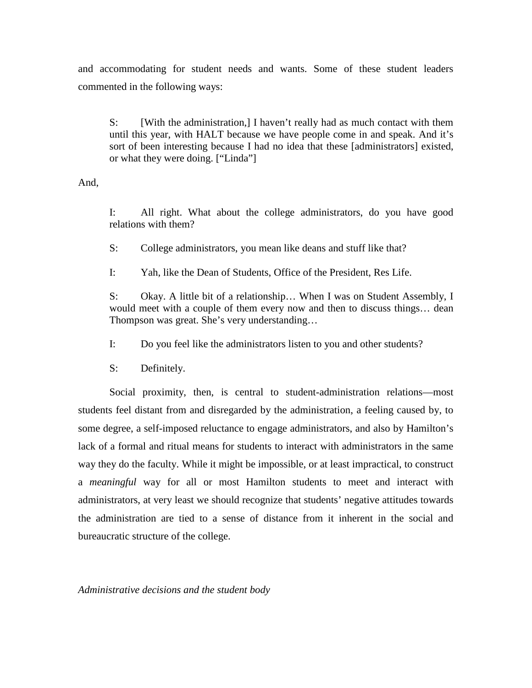and accommodating for student needs and wants. Some of these student leaders commented in the following ways:

S: [With the administration,] I haven't really had as much contact with them until this year, with HALT because we have people come in and speak. And it's sort of been interesting because I had no idea that these [administrators] existed, or what they were doing. ["Linda"]

And,

I: All right. What about the college administrators, do you have good relations with them?

S: College administrators, you mean like deans and stuff like that?

I: Yah, like the Dean of Students, Office of the President, Res Life.

S: Okay. A little bit of a relationship... When I was on Student Assembly, I would meet with a couple of them every now and then to discuss things… dean Thompson was great. She's very understanding…

I: Do you feel like the administrators listen to you and other students?

S: Definitely.

 Social proximity, then, is central to student-administration relations—most students feel distant from and disregarded by the administration, a feeling caused by, to some degree, a self-imposed reluctance to engage administrators, and also by Hamilton's lack of a formal and ritual means for students to interact with administrators in the same way they do the faculty. While it might be impossible, or at least impractical, to construct a *meaningful* way for all or most Hamilton students to meet and interact with administrators, at very least we should recognize that students' negative attitudes towards the administration are tied to a sense of distance from it inherent in the social and bureaucratic structure of the college.

*Administrative decisions and the student body*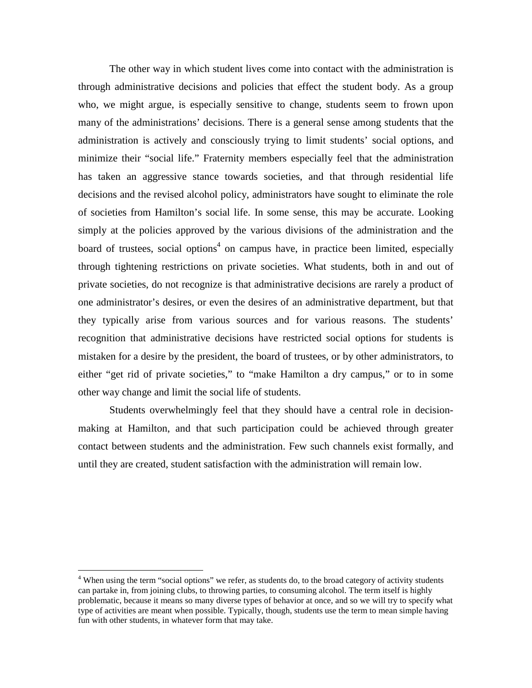The other way in which student lives come into contact with the administration is through administrative decisions and policies that effect the student body. As a group who, we might argue, is especially sensitive to change, students seem to frown upon many of the administrations' decisions. There is a general sense among students that the administration is actively and consciously trying to limit students' social options, and minimize their "social life." Fraternity members especially feel that the administration has taken an aggressive stance towards societies, and that through residential life decisions and the revised alcohol policy, administrators have sought to eliminate the role of societies from Hamilton's social life. In some sense, this may be accurate. Looking simply at the policies approved by the various divisions of the administration and the board of trustees, social options<sup>4</sup> on campus have, in practice been limited, especially through tightening restrictions on private societies. What students, both in and out of private societies, do not recognize is that administrative decisions are rarely a product of one administrator's desires, or even the desires of an administrative department, but that they typically arise from various sources and for various reasons. The students' recognition that administrative decisions have restricted social options for students is mistaken for a desire by the president, the board of trustees, or by other administrators, to either "get rid of private societies," to "make Hamilton a dry campus," or to in some other way change and limit the social life of students.

Students overwhelmingly feel that they should have a central role in decisionmaking at Hamilton, and that such participation could be achieved through greater contact between students and the administration. Few such channels exist formally, and until they are created, student satisfaction with the administration will remain low.

 4 When using the term "social options" we refer, as students do, to the broad category of activity students can partake in, from joining clubs, to throwing parties, to consuming alcohol. The term itself is highly problematic, because it means so many diverse types of behavior at once, and so we will try to specify what type of activities are meant when possible. Typically, though, students use the term to mean simple having fun with other students, in whatever form that may take.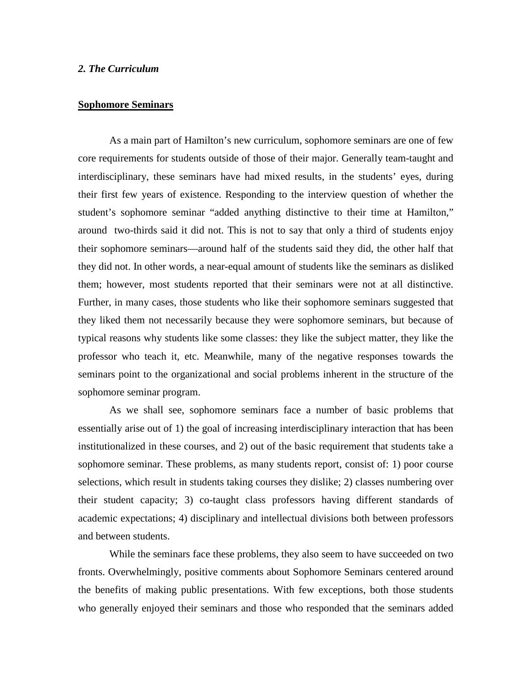## *2. The Curriculum*

## **Sophomore Seminars**

 As a main part of Hamilton's new curriculum, sophomore seminars are one of few core requirements for students outside of those of their major. Generally team-taught and interdisciplinary, these seminars have had mixed results, in the students' eyes, during their first few years of existence. Responding to the interview question of whether the student's sophomore seminar "added anything distinctive to their time at Hamilton," around two-thirds said it did not. This is not to say that only a third of students enjoy their sophomore seminars—around half of the students said they did, the other half that they did not. In other words, a near-equal amount of students like the seminars as disliked them; however, most students reported that their seminars were not at all distinctive. Further, in many cases, those students who like their sophomore seminars suggested that they liked them not necessarily because they were sophomore seminars, but because of typical reasons why students like some classes: they like the subject matter, they like the professor who teach it, etc. Meanwhile, many of the negative responses towards the seminars point to the organizational and social problems inherent in the structure of the sophomore seminar program.

As we shall see, sophomore seminars face a number of basic problems that essentially arise out of 1) the goal of increasing interdisciplinary interaction that has been institutionalized in these courses, and 2) out of the basic requirement that students take a sophomore seminar. These problems, as many students report, consist of: 1) poor course selections, which result in students taking courses they dislike; 2) classes numbering over their student capacity; 3) co-taught class professors having different standards of academic expectations; 4) disciplinary and intellectual divisions both between professors and between students.

While the seminars face these problems, they also seem to have succeeded on two fronts. Overwhelmingly, positive comments about Sophomore Seminars centered around the benefits of making public presentations. With few exceptions, both those students who generally enjoyed their seminars and those who responded that the seminars added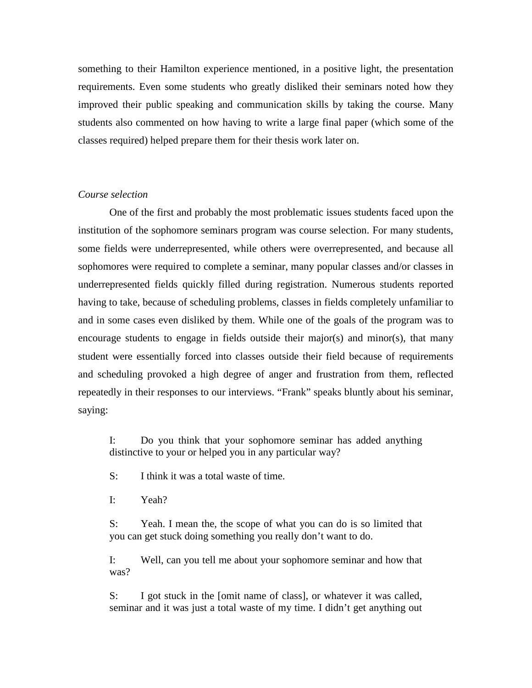something to their Hamilton experience mentioned, in a positive light, the presentation requirements. Even some students who greatly disliked their seminars noted how they improved their public speaking and communication skills by taking the course. Many students also commented on how having to write a large final paper (which some of the classes required) helped prepare them for their thesis work later on.

#### *Course selection*

 One of the first and probably the most problematic issues students faced upon the institution of the sophomore seminars program was course selection. For many students, some fields were underrepresented, while others were overrepresented, and because all sophomores were required to complete a seminar, many popular classes and/or classes in underrepresented fields quickly filled during registration. Numerous students reported having to take, because of scheduling problems, classes in fields completely unfamiliar to and in some cases even disliked by them. While one of the goals of the program was to encourage students to engage in fields outside their major(s) and minor(s), that many student were essentially forced into classes outside their field because of requirements and scheduling provoked a high degree of anger and frustration from them, reflected repeatedly in their responses to our interviews. "Frank" speaks bluntly about his seminar, saying:

I: Do you think that your sophomore seminar has added anything distinctive to your or helped you in any particular way?

S: I think it was a total waste of time.

I: Yeah?

S: Yeah. I mean the, the scope of what you can do is so limited that you can get stuck doing something you really don't want to do.

I: Well, can you tell me about your sophomore seminar and how that was?

S: I got stuck in the [omit name of class], or whatever it was called, seminar and it was just a total waste of my time. I didn't get anything out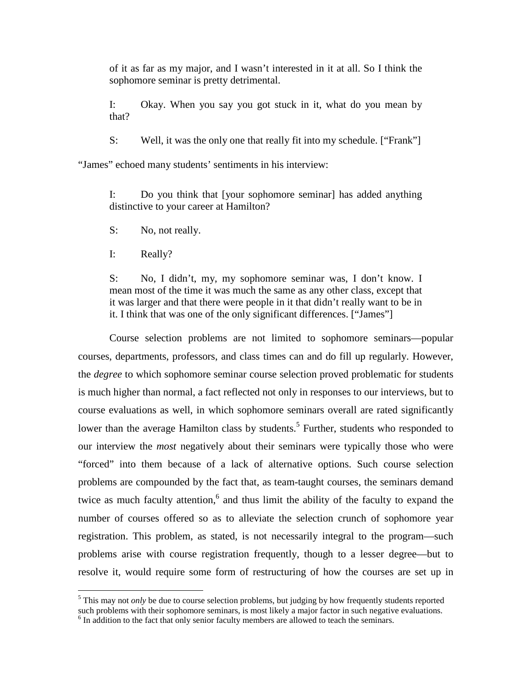of it as far as my major, and I wasn't interested in it at all. So I think the sophomore seminar is pretty detrimental.

I: Okay. When you say you got stuck in it, what do you mean by that?

S: Well, it was the only one that really fit into my schedule. ["Frank"]

"James" echoed many students' sentiments in his interview:

I: Do you think that [your sophomore seminar] has added anything distinctive to your career at Hamilton?

S: No, not really.

I: Really?

S: No, I didn't, my, my sophomore seminar was, I don't know. I mean most of the time it was much the same as any other class, except that it was larger and that there were people in it that didn't really want to be in it. I think that was one of the only significant differences. ["James"]

 Course selection problems are not limited to sophomore seminars—popular courses, departments, professors, and class times can and do fill up regularly. However, the *degree* to which sophomore seminar course selection proved problematic for students is much higher than normal, a fact reflected not only in responses to our interviews, but to course evaluations as well, in which sophomore seminars overall are rated significantly lower than the average Hamilton class by students.<sup>5</sup> Further, students who responded to our interview the *most* negatively about their seminars were typically those who were "forced" into them because of a lack of alternative options. Such course selection problems are compounded by the fact that, as team-taught courses, the seminars demand twice as much faculty attention, $6$  and thus limit the ability of the faculty to expand the number of courses offered so as to alleviate the selection crunch of sophomore year registration. This problem, as stated, is not necessarily integral to the program—such problems arise with course registration frequently, though to a lesser degree—but to resolve it, would require some form of restructuring of how the courses are set up in

<sup>&</sup>lt;u>.</u> <sup>5</sup> This may not *only* be due to course selection problems, but judging by how frequently students reported such problems with their sophomore seminars, is most likely a major factor in such negative evaluations.

<sup>&</sup>lt;sup>6</sup> In addition to the fact that only senior faculty members are allowed to teach the seminars.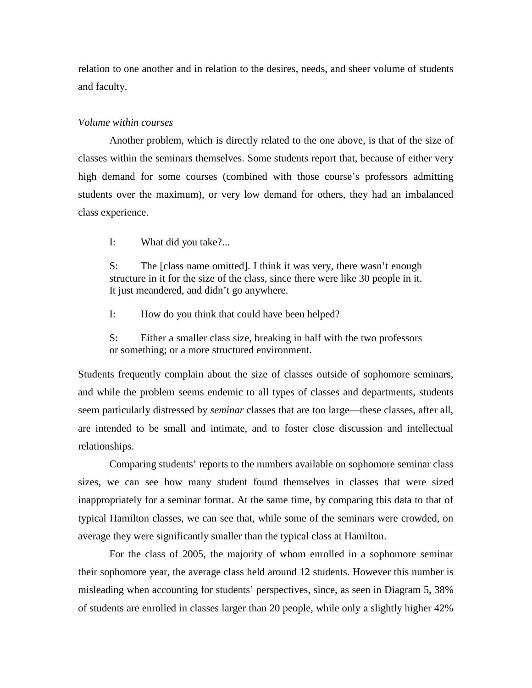relation to one another and in relation to the desires, needs, and sheer volume of students and faculty.

#### *Volume within courses*

 Another problem, which is directly related to the one above, is that of the size of classes within the seminars themselves. Some students report that, because of either very high demand for some courses (combined with those course's professors admitting students over the maximum), or very low demand for others, they had an imbalanced class experience.

I: What did you take?...

S: The [class name omitted]. I think it was very, there wasn't enough structure in it for the size of the class, since there were like 30 people in it. It just meandered, and didn't go anywhere.

I: How do you think that could have been helped?

S: Either a smaller class size, breaking in half with the two professors or something; or a more structured environment.

Students frequently complain about the size of classes outside of sophomore seminars, and while the problem seems endemic to all types of classes and departments, students seem particularly distressed by *seminar* classes that are too large—these classes, after all, are intended to be small and intimate, and to foster close discussion and intellectual relationships.

 Comparing students' reports to the numbers available on sophomore seminar class sizes, we can see how many student found themselves in classes that were sized inappropriately for a seminar format. At the same time, by comparing this data to that of typical Hamilton classes, we can see that, while some of the seminars were crowded, on average they were significantly smaller than the typical class at Hamilton.

 For the class of 2005, the majority of whom enrolled in a sophomore seminar their sophomore year, the average class held around 12 students. However this number is misleading when accounting for students' perspectives, since, as seen in Diagram 5, 38% of students are enrolled in classes larger than 20 people, while only a slightly higher 42%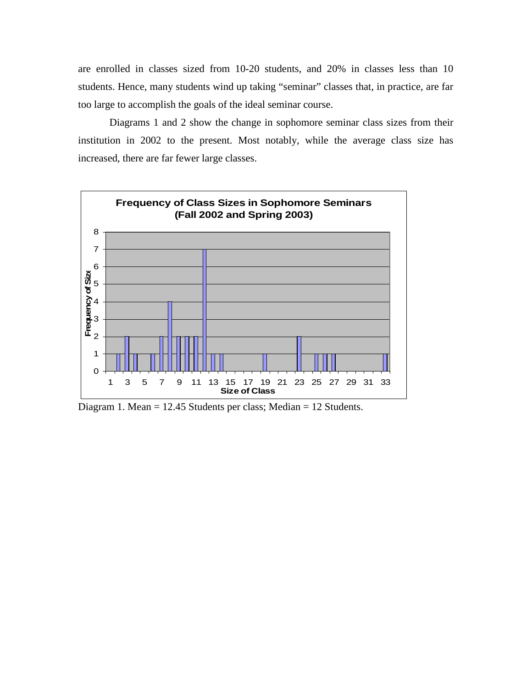are enrolled in classes sized from 10-20 students, and 20% in classes less than 10 students. Hence, many students wind up taking "seminar" classes that, in practice, are far too large to accomplish the goals of the ideal seminar course.

 Diagrams 1 and 2 show the change in sophomore seminar class sizes from their institution in 2002 to the present. Most notably, while the average class size has increased, there are far fewer large classes.



Diagram 1. Mean = 12.45 Students per class; Median = 12 Students.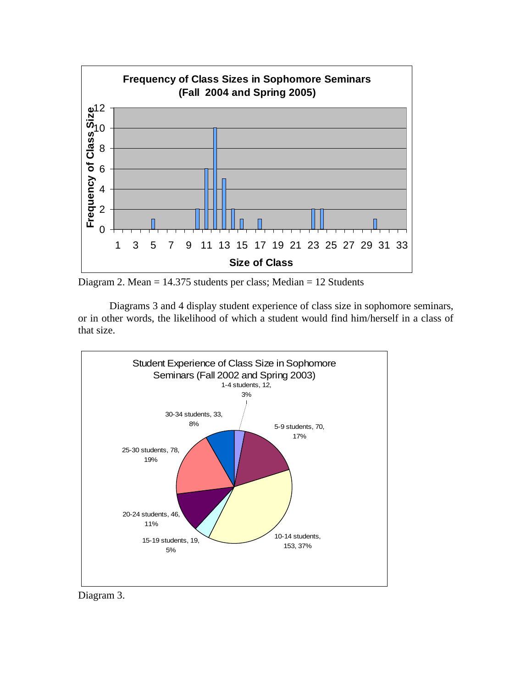

Diagram 2. Mean = 14.375 students per class; Median = 12 Students

Diagrams 3 and 4 display student experience of class size in sophomore seminars, or in other words, the likelihood of which a student would find him/herself in a class of that size.



Diagram 3.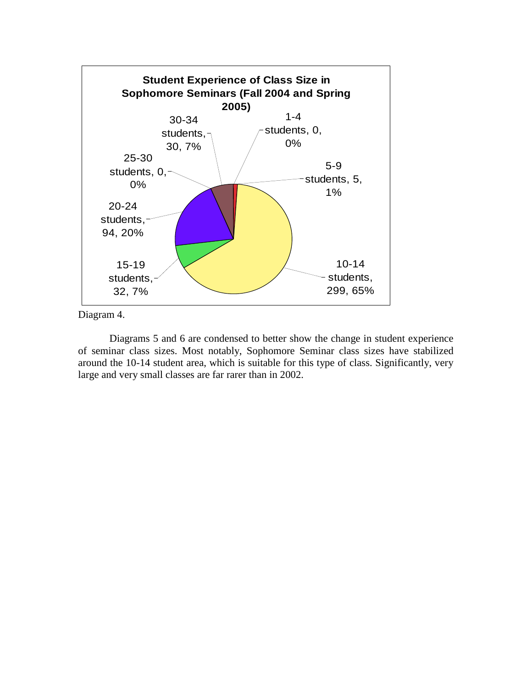

Diagram 4.

Diagrams 5 and 6 are condensed to better show the change in student experience of seminar class sizes. Most notably, Sophomore Seminar class sizes have stabilized around the 10-14 student area, which is suitable for this type of class. Significantly, very large and very small classes are far rarer than in 2002.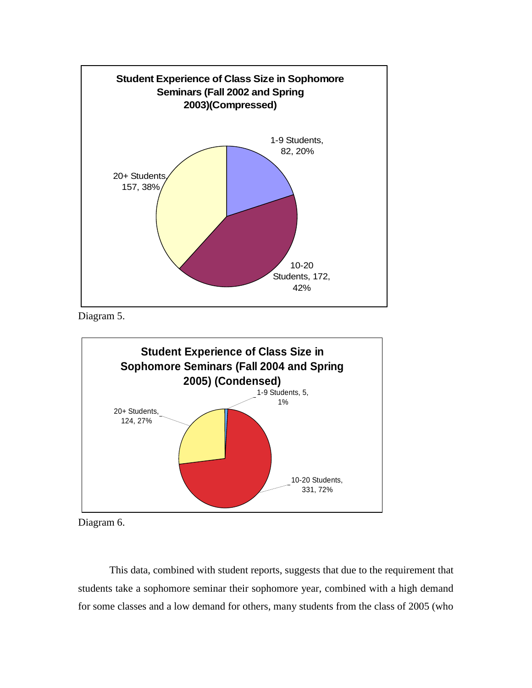

Diagram 5.



Diagram 6.

 This data, combined with student reports, suggests that due to the requirement that students take a sophomore seminar their sophomore year, combined with a high demand for some classes and a low demand for others, many students from the class of 2005 (who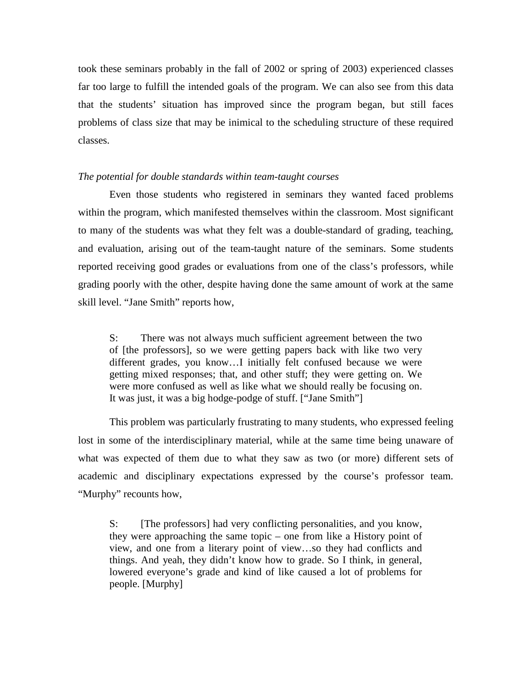took these seminars probably in the fall of 2002 or spring of 2003) experienced classes far too large to fulfill the intended goals of the program. We can also see from this data that the students' situation has improved since the program began, but still faces problems of class size that may be inimical to the scheduling structure of these required classes.

#### *The potential for double standards within team-taught courses*

 Even those students who registered in seminars they wanted faced problems within the program, which manifested themselves within the classroom. Most significant to many of the students was what they felt was a double-standard of grading, teaching, and evaluation, arising out of the team-taught nature of the seminars. Some students reported receiving good grades or evaluations from one of the class's professors, while grading poorly with the other, despite having done the same amount of work at the same skill level. "Jane Smith" reports how,

S: There was not always much sufficient agreement between the two of [the professors], so we were getting papers back with like two very different grades, you know…I initially felt confused because we were getting mixed responses; that, and other stuff; they were getting on. We were more confused as well as like what we should really be focusing on. It was just, it was a big hodge-podge of stuff. ["Jane Smith"]

 This problem was particularly frustrating to many students, who expressed feeling lost in some of the interdisciplinary material, while at the same time being unaware of what was expected of them due to what they saw as two (or more) different sets of academic and disciplinary expectations expressed by the course's professor team. "Murphy" recounts how,

S: [The professors] had very conflicting personalities, and you know, they were approaching the same topic – one from like a History point of view, and one from a literary point of view…so they had conflicts and things. And yeah, they didn't know how to grade. So I think, in general, lowered everyone's grade and kind of like caused a lot of problems for people. [Murphy]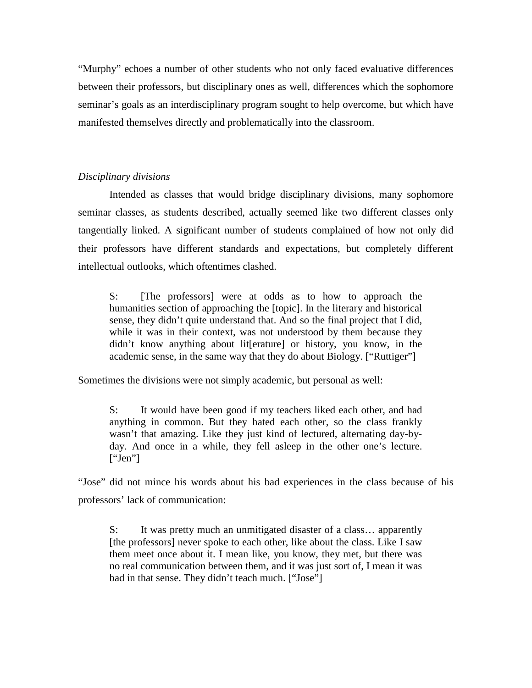"Murphy" echoes a number of other students who not only faced evaluative differences between their professors, but disciplinary ones as well, differences which the sophomore seminar's goals as an interdisciplinary program sought to help overcome, but which have manifested themselves directly and problematically into the classroom.

## *Disciplinary divisions*

 Intended as classes that would bridge disciplinary divisions, many sophomore seminar classes, as students described, actually seemed like two different classes only tangentially linked. A significant number of students complained of how not only did their professors have different standards and expectations, but completely different intellectual outlooks, which oftentimes clashed.

S: [The professors] were at odds as to how to approach the humanities section of approaching the [topic]. In the literary and historical sense, they didn't quite understand that. And so the final project that I did, while it was in their context, was not understood by them because they didn't know anything about lit[erature] or history, you know, in the academic sense, in the same way that they do about Biology. ["Ruttiger"]

Sometimes the divisions were not simply academic, but personal as well:

S: It would have been good if my teachers liked each other, and had anything in common. But they hated each other, so the class frankly wasn't that amazing. Like they just kind of lectured, alternating day-byday. And once in a while, they fell asleep in the other one's lecture.  $[''Jen'']$ 

"Jose" did not mince his words about his bad experiences in the class because of his professors' lack of communication:

S: It was pretty much an unmitigated disaster of a class... apparently [the professors] never spoke to each other, like about the class. Like I saw them meet once about it. I mean like, you know, they met, but there was no real communication between them, and it was just sort of, I mean it was bad in that sense. They didn't teach much. ["Jose"]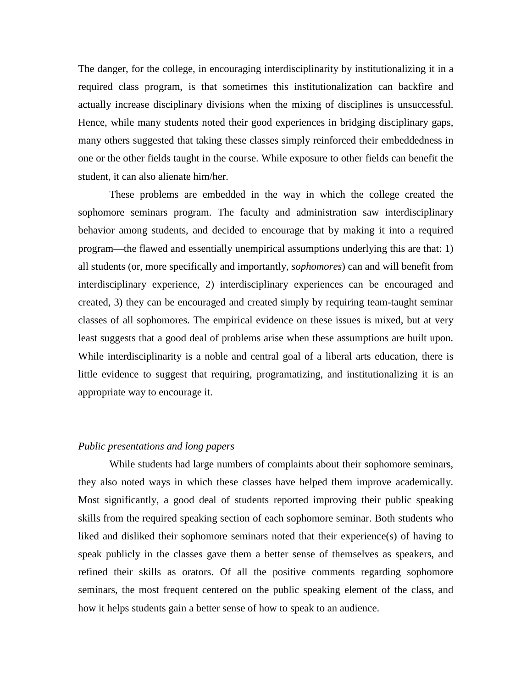The danger, for the college, in encouraging interdisciplinarity by institutionalizing it in a required class program, is that sometimes this institutionalization can backfire and actually increase disciplinary divisions when the mixing of disciplines is unsuccessful. Hence, while many students noted their good experiences in bridging disciplinary gaps, many others suggested that taking these classes simply reinforced their embeddedness in one or the other fields taught in the course. While exposure to other fields can benefit the student, it can also alienate him/her.

 These problems are embedded in the way in which the college created the sophomore seminars program. The faculty and administration saw interdisciplinary behavior among students, and decided to encourage that by making it into a required program—the flawed and essentially unempirical assumptions underlying this are that: 1) all students (or, more specifically and importantly, *sophomores*) can and will benefit from interdisciplinary experience, 2) interdisciplinary experiences can be encouraged and created, 3) they can be encouraged and created simply by requiring team-taught seminar classes of all sophomores. The empirical evidence on these issues is mixed, but at very least suggests that a good deal of problems arise when these assumptions are built upon. While interdisciplinarity is a noble and central goal of a liberal arts education, there is little evidence to suggest that requiring, programatizing, and institutionalizing it is an appropriate way to encourage it.

## *Public presentations and long papers*

 While students had large numbers of complaints about their sophomore seminars, they also noted ways in which these classes have helped them improve academically. Most significantly, a good deal of students reported improving their public speaking skills from the required speaking section of each sophomore seminar. Both students who liked and disliked their sophomore seminars noted that their experience(s) of having to speak publicly in the classes gave them a better sense of themselves as speakers, and refined their skills as orators. Of all the positive comments regarding sophomore seminars, the most frequent centered on the public speaking element of the class, and how it helps students gain a better sense of how to speak to an audience.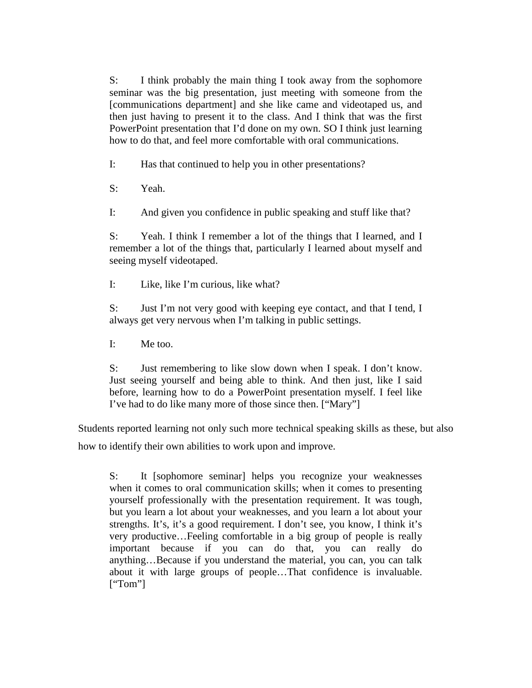S: I think probably the main thing I took away from the sophomore seminar was the big presentation, just meeting with someone from the [communications department] and she like came and videotaped us, and then just having to present it to the class. And I think that was the first PowerPoint presentation that I'd done on my own. SO I think just learning how to do that, and feel more comfortable with oral communications.

I: Has that continued to help you in other presentations?

S: Yeah.

I: And given you confidence in public speaking and stuff like that?

S: Yeah. I think I remember a lot of the things that I learned, and I remember a lot of the things that, particularly I learned about myself and seeing myself videotaped.

I: Like, like I'm curious, like what?

S: Just I'm not very good with keeping eye contact, and that I tend, I always get very nervous when I'm talking in public settings.

I: Me too.

S: Just remembering to like slow down when I speak. I don't know. Just seeing yourself and being able to think. And then just, like I said before, learning how to do a PowerPoint presentation myself. I feel like I've had to do like many more of those since then. ["Mary"]

Students reported learning not only such more technical speaking skills as these, but also how to identify their own abilities to work upon and improve.

S: It [sophomore seminar] helps you recognize your weaknesses when it comes to oral communication skills; when it comes to presenting yourself professionally with the presentation requirement. It was tough, but you learn a lot about your weaknesses, and you learn a lot about your strengths. It's, it's a good requirement. I don't see, you know, I think it's very productive…Feeling comfortable in a big group of people is really important because if you can do that, you can really do anything…Because if you understand the material, you can, you can talk about it with large groups of people…That confidence is invaluable. ["Tom"]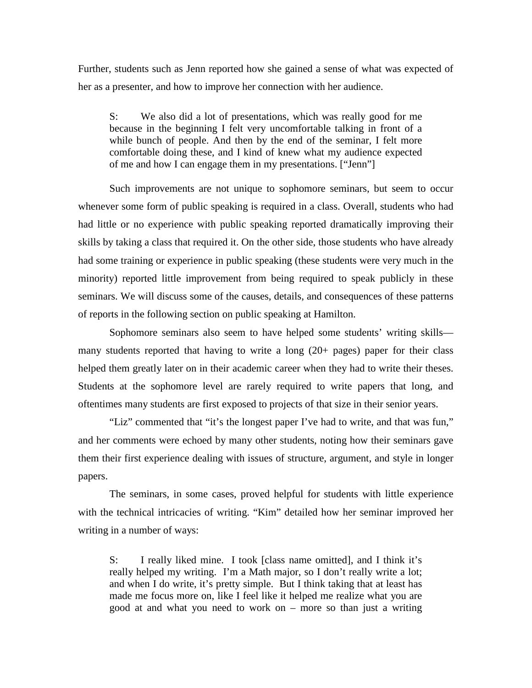Further, students such as Jenn reported how she gained a sense of what was expected of her as a presenter, and how to improve her connection with her audience.

S: We also did a lot of presentations, which was really good for me because in the beginning I felt very uncomfortable talking in front of a while bunch of people. And then by the end of the seminar, I felt more comfortable doing these, and I kind of knew what my audience expected of me and how I can engage them in my presentations. ["Jenn"]

 Such improvements are not unique to sophomore seminars, but seem to occur whenever some form of public speaking is required in a class. Overall, students who had had little or no experience with public speaking reported dramatically improving their skills by taking a class that required it. On the other side, those students who have already had some training or experience in public speaking (these students were very much in the minority) reported little improvement from being required to speak publicly in these seminars. We will discuss some of the causes, details, and consequences of these patterns of reports in the following section on public speaking at Hamilton.

 Sophomore seminars also seem to have helped some students' writing skills many students reported that having to write a long (20+ pages) paper for their class helped them greatly later on in their academic career when they had to write their theses. Students at the sophomore level are rarely required to write papers that long, and oftentimes many students are first exposed to projects of that size in their senior years.

 "Liz" commented that "it's the longest paper I've had to write, and that was fun," and her comments were echoed by many other students, noting how their seminars gave them their first experience dealing with issues of structure, argument, and style in longer papers.

The seminars, in some cases, proved helpful for students with little experience with the technical intricacies of writing. "Kim" detailed how her seminar improved her writing in a number of ways:

S: I really liked mine. I took [class name omitted], and I think it's really helped my writing. I'm a Math major, so I don't really write a lot; and when I do write, it's pretty simple. But I think taking that at least has made me focus more on, like I feel like it helped me realize what you are good at and what you need to work on – more so than just a writing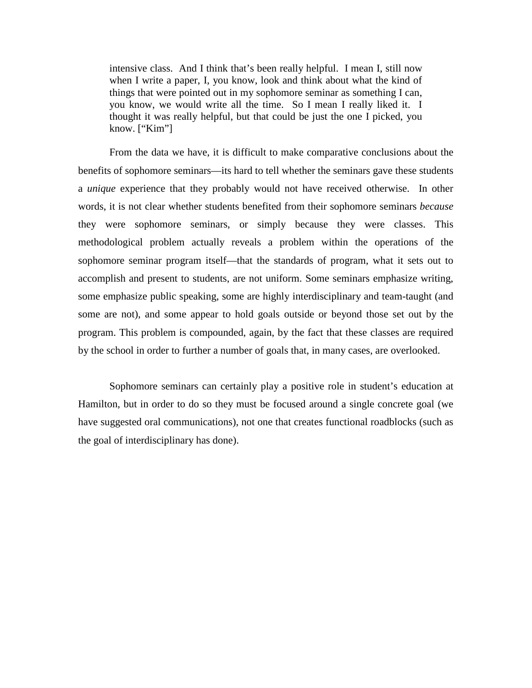intensive class. And I think that's been really helpful. I mean I, still now when I write a paper, I, you know, look and think about what the kind of things that were pointed out in my sophomore seminar as something I can, you know, we would write all the time. So I mean I really liked it. I thought it was really helpful, but that could be just the one I picked, you know. ["Kim"]

 From the data we have, it is difficult to make comparative conclusions about the benefits of sophomore seminars—its hard to tell whether the seminars gave these students a *unique* experience that they probably would not have received otherwise. In other words, it is not clear whether students benefited from their sophomore seminars *because* they were sophomore seminars, or simply because they were classes. This methodological problem actually reveals a problem within the operations of the sophomore seminar program itself—that the standards of program, what it sets out to accomplish and present to students, are not uniform. Some seminars emphasize writing, some emphasize public speaking, some are highly interdisciplinary and team-taught (and some are not), and some appear to hold goals outside or beyond those set out by the program. This problem is compounded, again, by the fact that these classes are required by the school in order to further a number of goals that, in many cases, are overlooked.

 Sophomore seminars can certainly play a positive role in student's education at Hamilton, but in order to do so they must be focused around a single concrete goal (we have suggested oral communications), not one that creates functional roadblocks (such as the goal of interdisciplinary has done).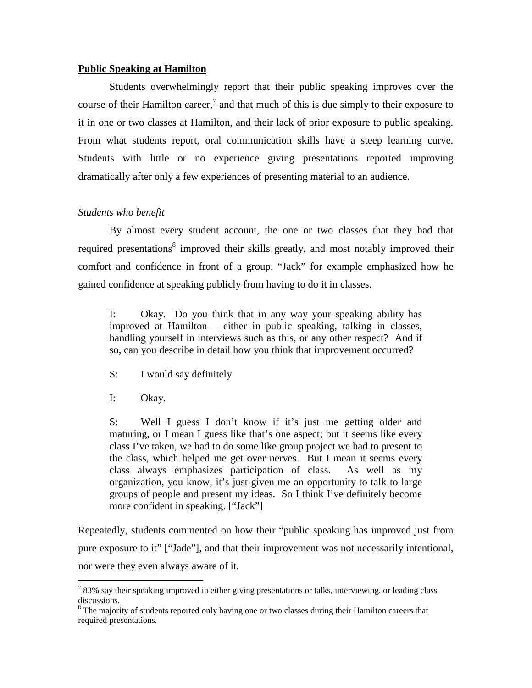### **Public Speaking at Hamilton**

 Students overwhelmingly report that their public speaking improves over the course of their Hamilton career,<sup>7</sup> and that much of this is due simply to their exposure to it in one or two classes at Hamilton, and their lack of prior exposure to public speaking. From what students report, oral communication skills have a steep learning curve. Students with little or no experience giving presentations reported improving dramatically after only a few experiences of presenting material to an audience.

## *Students who benefit*

By almost every student account, the one or two classes that they had that required presentations<sup>8</sup> improved their skills greatly, and most notably improved their comfort and confidence in front of a group. "Jack" for example emphasized how he gained confidence at speaking publicly from having to do it in classes.

I: Okay. Do you think that in any way your speaking ability has improved at Hamilton – either in public speaking, talking in classes, handling yourself in interviews such as this, or any other respect? And if so, can you describe in detail how you think that improvement occurred?

S: I would say definitely.

I: Okay.

 $\overline{a}$ 

S: Well I guess I don't know if it's just me getting older and maturing, or I mean I guess like that's one aspect; but it seems like every class I've taken, we had to do some like group project we had to present to the class, which helped me get over nerves. But I mean it seems every class always emphasizes participation of class. As well as my organization, you know, it's just given me an opportunity to talk to large groups of people and present my ideas. So I think I've definitely become more confident in speaking. ["Jack"]

Repeatedly, students commented on how their "public speaking has improved just from pure exposure to it" ["Jade"], and that their improvement was not necessarily intentional, nor were they even always aware of it.

 $783\%$  say their speaking improved in either giving presentations or talks, interviewing, or leading class discussions.

<sup>&</sup>lt;sup>8</sup> The majority of students reported only having one or two classes during their Hamilton careers that required presentations.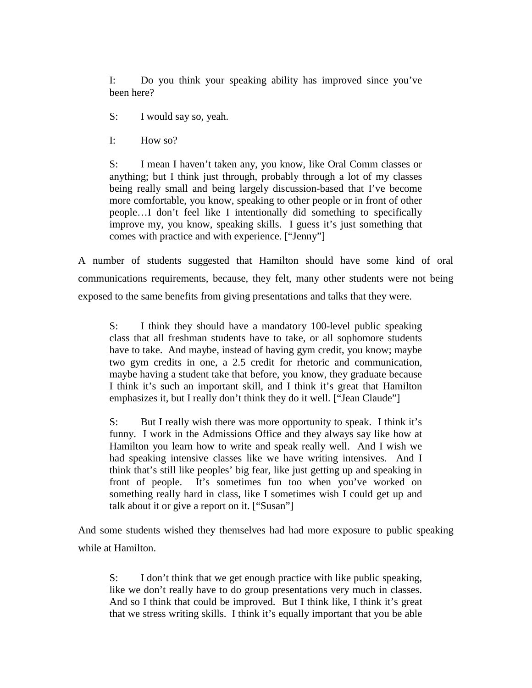I: Do you think your speaking ability has improved since you've been here?

S: I would say so, yeah.

I: How so?

S: I mean I haven't taken any, you know, like Oral Comm classes or anything; but I think just through, probably through a lot of my classes being really small and being largely discussion-based that I've become more comfortable, you know, speaking to other people or in front of other people…I don't feel like I intentionally did something to specifically improve my, you know, speaking skills. I guess it's just something that comes with practice and with experience. ["Jenny"]

A number of students suggested that Hamilton should have some kind of oral communications requirements, because, they felt, many other students were not being exposed to the same benefits from giving presentations and talks that they were.

S: I think they should have a mandatory 100-level public speaking class that all freshman students have to take, or all sophomore students have to take. And maybe, instead of having gym credit, you know; maybe two gym credits in one, a 2.5 credit for rhetoric and communication, maybe having a student take that before, you know, they graduate because I think it's such an important skill, and I think it's great that Hamilton emphasizes it, but I really don't think they do it well. ["Jean Claude"]

S: But I really wish there was more opportunity to speak. I think it's funny. I work in the Admissions Office and they always say like how at Hamilton you learn how to write and speak really well. And I wish we had speaking intensive classes like we have writing intensives. And I think that's still like peoples' big fear, like just getting up and speaking in front of people. It's sometimes fun too when you've worked on something really hard in class, like I sometimes wish I could get up and talk about it or give a report on it. ["Susan"]

And some students wished they themselves had had more exposure to public speaking while at Hamilton.

S: I don't think that we get enough practice with like public speaking, like we don't really have to do group presentations very much in classes. And so I think that could be improved. But I think like, I think it's great that we stress writing skills. I think it's equally important that you be able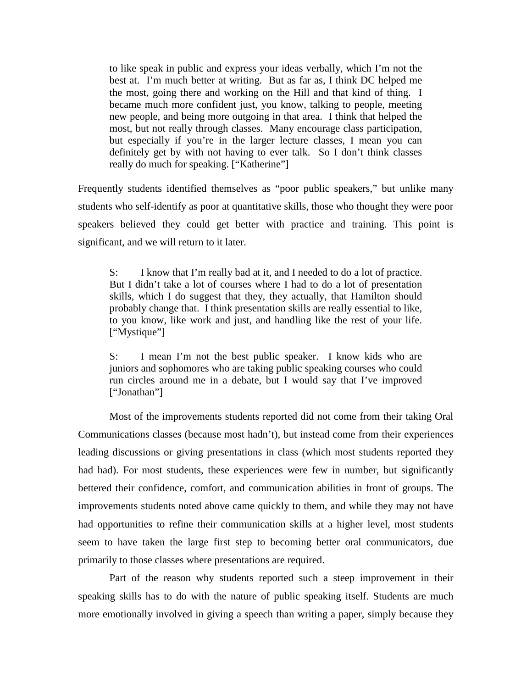to like speak in public and express your ideas verbally, which I'm not the best at. I'm much better at writing. But as far as, I think DC helped me the most, going there and working on the Hill and that kind of thing. I became much more confident just, you know, talking to people, meeting new people, and being more outgoing in that area. I think that helped the most, but not really through classes. Many encourage class participation, but especially if you're in the larger lecture classes, I mean you can definitely get by with not having to ever talk. So I don't think classes really do much for speaking. ["Katherine"]

Frequently students identified themselves as "poor public speakers," but unlike many students who self-identify as poor at quantitative skills, those who thought they were poor speakers believed they could get better with practice and training. This point is significant, and we will return to it later.

S: I know that I'm really bad at it, and I needed to do a lot of practice. But I didn't take a lot of courses where I had to do a lot of presentation skills, which I do suggest that they, they actually, that Hamilton should probably change that. I think presentation skills are really essential to like, to you know, like work and just, and handling like the rest of your life. ["Mystique"]

S: I mean I'm not the best public speaker. I know kids who are juniors and sophomores who are taking public speaking courses who could run circles around me in a debate, but I would say that I've improved ["Jonathan"]

 Most of the improvements students reported did not come from their taking Oral Communications classes (because most hadn't), but instead come from their experiences leading discussions or giving presentations in class (which most students reported they had had). For most students, these experiences were few in number, but significantly bettered their confidence, comfort, and communication abilities in front of groups. The improvements students noted above came quickly to them, and while they may not have had opportunities to refine their communication skills at a higher level, most students seem to have taken the large first step to becoming better oral communicators, due primarily to those classes where presentations are required.

 Part of the reason why students reported such a steep improvement in their speaking skills has to do with the nature of public speaking itself. Students are much more emotionally involved in giving a speech than writing a paper, simply because they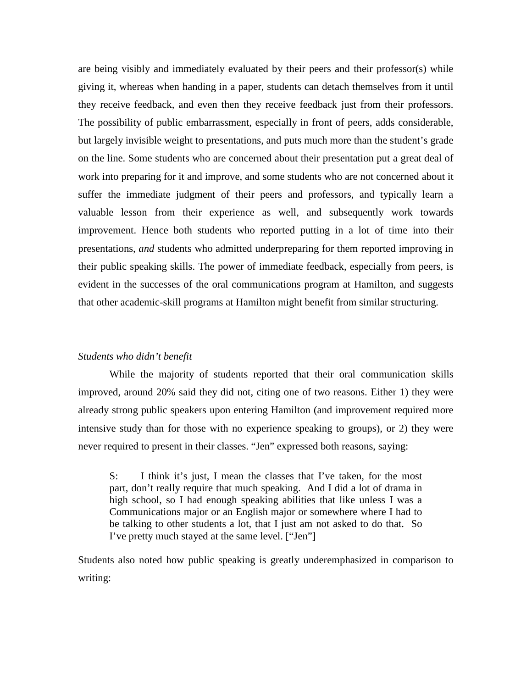are being visibly and immediately evaluated by their peers and their professor(s) while giving it, whereas when handing in a paper, students can detach themselves from it until they receive feedback, and even then they receive feedback just from their professors. The possibility of public embarrassment, especially in front of peers, adds considerable, but largely invisible weight to presentations, and puts much more than the student's grade on the line. Some students who are concerned about their presentation put a great deal of work into preparing for it and improve, and some students who are not concerned about it suffer the immediate judgment of their peers and professors, and typically learn a valuable lesson from their experience as well, and subsequently work towards improvement. Hence both students who reported putting in a lot of time into their presentations, *and* students who admitted underpreparing for them reported improving in their public speaking skills. The power of immediate feedback, especially from peers, is evident in the successes of the oral communications program at Hamilton, and suggests that other academic-skill programs at Hamilton might benefit from similar structuring.

### *Students who didn't benefit*

While the majority of students reported that their oral communication skills improved, around 20% said they did not, citing one of two reasons. Either 1) they were already strong public speakers upon entering Hamilton (and improvement required more intensive study than for those with no experience speaking to groups), or 2) they were never required to present in their classes. "Jen" expressed both reasons, saying:

S: I think it's just, I mean the classes that I've taken, for the most part, don't really require that much speaking. And I did a lot of drama in high school, so I had enough speaking abilities that like unless I was a Communications major or an English major or somewhere where I had to be talking to other students a lot, that I just am not asked to do that. So I've pretty much stayed at the same level. ["Jen"]

Students also noted how public speaking is greatly underemphasized in comparison to writing: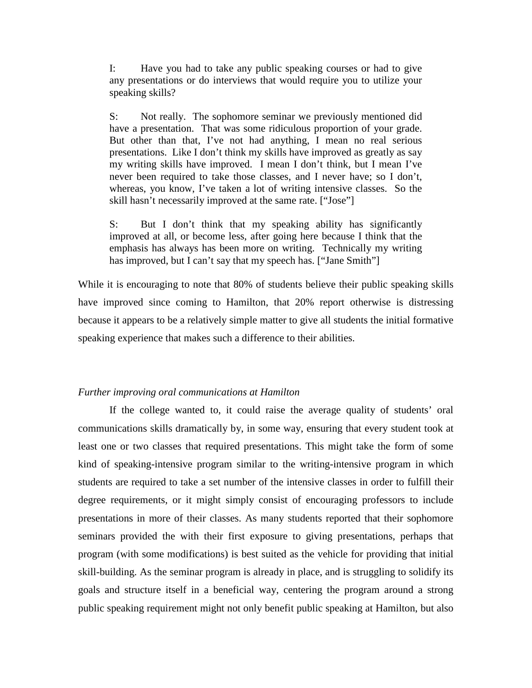I: Have you had to take any public speaking courses or had to give any presentations or do interviews that would require you to utilize your speaking skills?

S: Not really. The sophomore seminar we previously mentioned did have a presentation. That was some ridiculous proportion of your grade. But other than that, I've not had anything, I mean no real serious presentations. Like I don't think my skills have improved as greatly as say my writing skills have improved. I mean I don't think, but I mean I've never been required to take those classes, and I never have; so I don't, whereas, you know, I've taken a lot of writing intensive classes. So the skill hasn't necessarily improved at the same rate. ["Jose"]

S: But I don't think that my speaking ability has significantly improved at all, or become less, after going here because I think that the emphasis has always has been more on writing. Technically my writing has improved, but I can't say that my speech has. ["Jane Smith"]

While it is encouraging to note that 80% of students believe their public speaking skills have improved since coming to Hamilton, that 20% report otherwise is distressing because it appears to be a relatively simple matter to give all students the initial formative speaking experience that makes such a difference to their abilities.

### *Further improving oral communications at Hamilton*

If the college wanted to, it could raise the average quality of students' oral communications skills dramatically by, in some way, ensuring that every student took at least one or two classes that required presentations. This might take the form of some kind of speaking-intensive program similar to the writing-intensive program in which students are required to take a set number of the intensive classes in order to fulfill their degree requirements, or it might simply consist of encouraging professors to include presentations in more of their classes. As many students reported that their sophomore seminars provided the with their first exposure to giving presentations, perhaps that program (with some modifications) is best suited as the vehicle for providing that initial skill-building. As the seminar program is already in place, and is struggling to solidify its goals and structure itself in a beneficial way, centering the program around a strong public speaking requirement might not only benefit public speaking at Hamilton, but also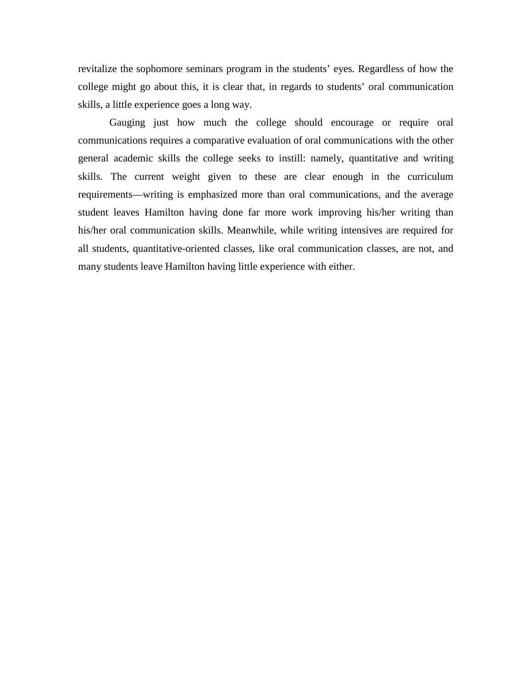revitalize the sophomore seminars program in the students' eyes. Regardless of how the college might go about this, it is clear that, in regards to students' oral communication skills, a little experience goes a long way.

 Gauging just how much the college should encourage or require oral communications requires a comparative evaluation of oral communications with the other general academic skills the college seeks to instill: namely, quantitative and writing skills. The current weight given to these are clear enough in the curriculum requirements—writing is emphasized more than oral communications, and the average student leaves Hamilton having done far more work improving his/her writing than his/her oral communication skills. Meanwhile, while writing intensives are required for all students, quantitative-oriented classes, like oral communication classes, are not, and many students leave Hamilton having little experience with either.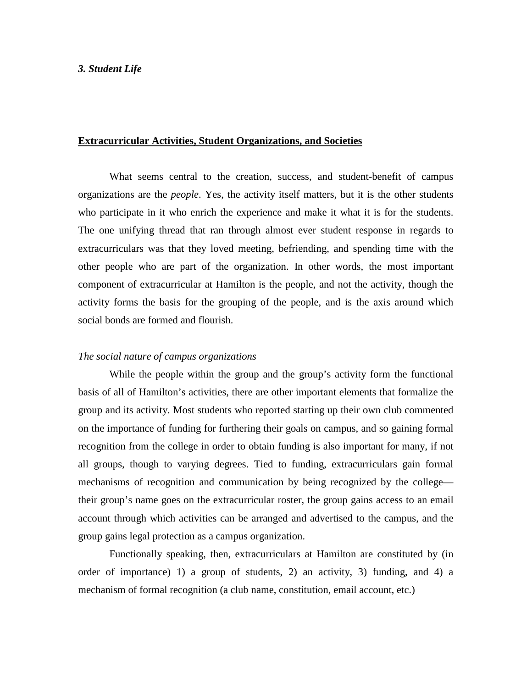## *3. Student Life*

### **Extracurricular Activities, Student Organizations, and Societies**

What seems central to the creation, success, and student-benefit of campus organizations are the *people*. Yes, the activity itself matters, but it is the other students who participate in it who enrich the experience and make it what it is for the students. The one unifying thread that ran through almost ever student response in regards to extracurriculars was that they loved meeting, befriending, and spending time with the other people who are part of the organization. In other words, the most important component of extracurricular at Hamilton is the people, and not the activity, though the activity forms the basis for the grouping of the people, and is the axis around which social bonds are formed and flourish.

#### *The social nature of campus organizations*

 While the people within the group and the group's activity form the functional basis of all of Hamilton's activities, there are other important elements that formalize the group and its activity. Most students who reported starting up their own club commented on the importance of funding for furthering their goals on campus, and so gaining formal recognition from the college in order to obtain funding is also important for many, if not all groups, though to varying degrees. Tied to funding, extracurriculars gain formal mechanisms of recognition and communication by being recognized by the college their group's name goes on the extracurricular roster, the group gains access to an email account through which activities can be arranged and advertised to the campus, and the group gains legal protection as a campus organization.

Functionally speaking, then, extracurriculars at Hamilton are constituted by (in order of importance) 1) a group of students, 2) an activity, 3) funding, and 4) a mechanism of formal recognition (a club name, constitution, email account, etc.)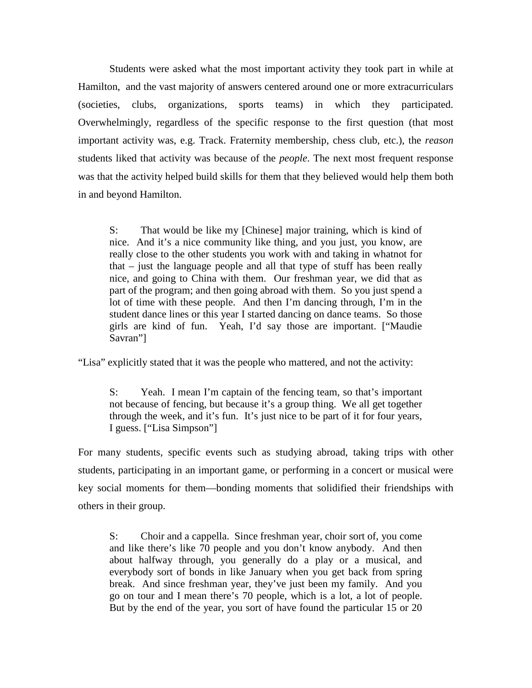Students were asked what the most important activity they took part in while at Hamilton, and the vast majority of answers centered around one or more extracurriculars (societies, clubs, organizations, sports teams) in which they participated. Overwhelmingly, regardless of the specific response to the first question (that most important activity was, e.g. Track. Fraternity membership, chess club, etc.), the *reason* students liked that activity was because of the *people*. The next most frequent response was that the activity helped build skills for them that they believed would help them both in and beyond Hamilton.

S: That would be like my [Chinese] major training, which is kind of nice. And it's a nice community like thing, and you just, you know, are really close to the other students you work with and taking in whatnot for that – just the language people and all that type of stuff has been really nice, and going to China with them. Our freshman year, we did that as part of the program; and then going abroad with them. So you just spend a lot of time with these people. And then I'm dancing through, I'm in the student dance lines or this year I started dancing on dance teams. So those girls are kind of fun. Yeah, I'd say those are important. ["Maudie Savran"]

"Lisa" explicitly stated that it was the people who mattered, and not the activity:

S: Yeah. I mean I'm captain of the fencing team, so that's important not because of fencing, but because it's a group thing. We all get together through the week, and it's fun. It's just nice to be part of it for four years, I guess. ["Lisa Simpson"]

For many students, specific events such as studying abroad, taking trips with other students, participating in an important game, or performing in a concert or musical were key social moments for them—bonding moments that solidified their friendships with others in their group.

S: Choir and a cappella. Since freshman year, choir sort of, you come and like there's like 70 people and you don't know anybody. And then about halfway through, you generally do a play or a musical, and everybody sort of bonds in like January when you get back from spring break. And since freshman year, they've just been my family. And you go on tour and I mean there's 70 people, which is a lot, a lot of people. But by the end of the year, you sort of have found the particular 15 or 20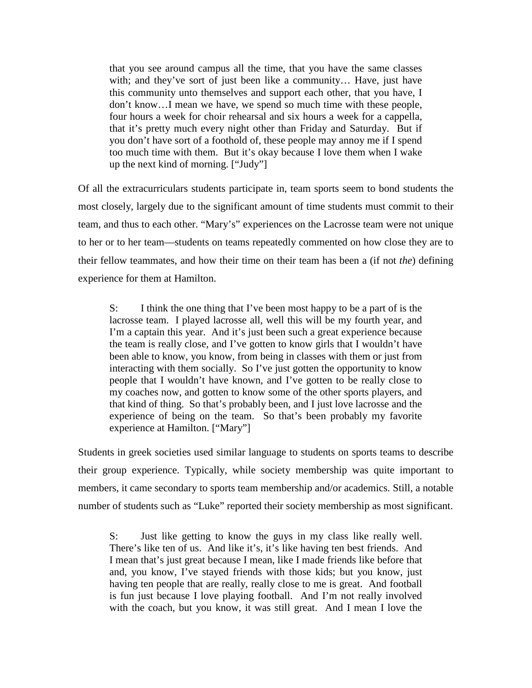that you see around campus all the time, that you have the same classes with; and they've sort of just been like a community… Have, just have this community unto themselves and support each other, that you have, I don't know…I mean we have, we spend so much time with these people, four hours a week for choir rehearsal and six hours a week for a cappella, that it's pretty much every night other than Friday and Saturday. But if you don't have sort of a foothold of, these people may annoy me if I spend too much time with them. But it's okay because I love them when I wake up the next kind of morning. ["Judy"]

Of all the extracurriculars students participate in, team sports seem to bond students the most closely, largely due to the significant amount of time students must commit to their team, and thus to each other. "Mary's" experiences on the Lacrosse team were not unique to her or to her team—students on teams repeatedly commented on how close they are to their fellow teammates, and how their time on their team has been a (if not *the*) defining experience for them at Hamilton.

S: I think the one thing that I've been most happy to be a part of is the lacrosse team. I played lacrosse all, well this will be my fourth year, and I'm a captain this year. And it's just been such a great experience because the team is really close, and I've gotten to know girls that I wouldn't have been able to know, you know, from being in classes with them or just from interacting with them socially. So I've just gotten the opportunity to know people that I wouldn't have known, and I've gotten to be really close to my coaches now, and gotten to know some of the other sports players, and that kind of thing. So that's probably been, and I just love lacrosse and the experience of being on the team. So that's been probably my favorite experience at Hamilton. ["Mary"]

Students in greek societies used similar language to students on sports teams to describe their group experience. Typically, while society membership was quite important to members, it came secondary to sports team membership and/or academics. Still, a notable number of students such as "Luke" reported their society membership as most significant.

S: Just like getting to know the guys in my class like really well. There's like ten of us. And like it's, it's like having ten best friends. And I mean that's just great because I mean, like I made friends like before that and, you know, I've stayed friends with those kids; but you know, just having ten people that are really, really close to me is great. And football is fun just because I love playing football. And I'm not really involved with the coach, but you know, it was still great. And I mean I love the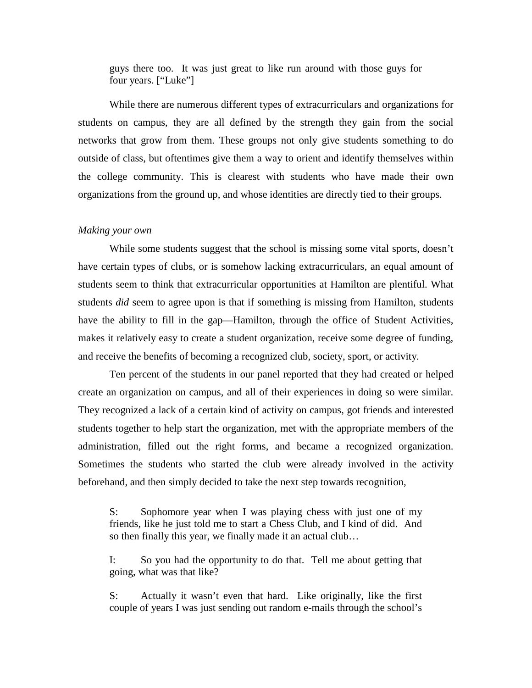guys there too. It was just great to like run around with those guys for four years. ["Luke"]

While there are numerous different types of extracurriculars and organizations for students on campus, they are all defined by the strength they gain from the social networks that grow from them. These groups not only give students something to do outside of class, but oftentimes give them a way to orient and identify themselves within the college community. This is clearest with students who have made their own organizations from the ground up, and whose identities are directly tied to their groups.

### *Making your own*

While some students suggest that the school is missing some vital sports, doesn't have certain types of clubs, or is somehow lacking extracurriculars, an equal amount of students seem to think that extracurricular opportunities at Hamilton are plentiful. What students *did* seem to agree upon is that if something is missing from Hamilton, students have the ability to fill in the gap—Hamilton, through the office of Student Activities, makes it relatively easy to create a student organization, receive some degree of funding, and receive the benefits of becoming a recognized club, society, sport, or activity.

Ten percent of the students in our panel reported that they had created or helped create an organization on campus, and all of their experiences in doing so were similar. They recognized a lack of a certain kind of activity on campus, got friends and interested students together to help start the organization, met with the appropriate members of the administration, filled out the right forms, and became a recognized organization. Sometimes the students who started the club were already involved in the activity beforehand, and then simply decided to take the next step towards recognition,

S: Sophomore year when I was playing chess with just one of my friends, like he just told me to start a Chess Club, and I kind of did. And so then finally this year, we finally made it an actual club…

I: So you had the opportunity to do that. Tell me about getting that going, what was that like?

S: Actually it wasn't even that hard. Like originally, like the first couple of years I was just sending out random e-mails through the school's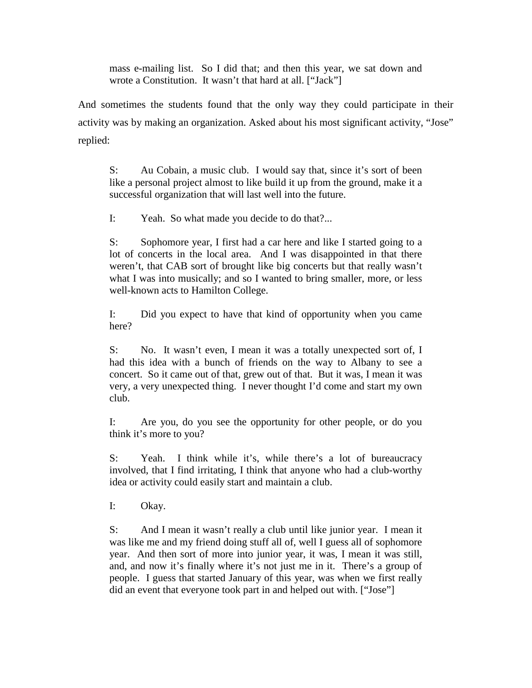mass e-mailing list. So I did that; and then this year, we sat down and wrote a Constitution. It wasn't that hard at all. ["Jack"]

And sometimes the students found that the only way they could participate in their activity was by making an organization. Asked about his most significant activity, "Jose" replied:

S: Au Cobain, a music club. I would say that, since it's sort of been like a personal project almost to like build it up from the ground, make it a successful organization that will last well into the future.

I: Yeah. So what made you decide to do that?...

S: Sophomore year, I first had a car here and like I started going to a lot of concerts in the local area. And I was disappointed in that there weren't, that CAB sort of brought like big concerts but that really wasn't what I was into musically; and so I wanted to bring smaller, more, or less well-known acts to Hamilton College.

I: Did you expect to have that kind of opportunity when you came here?

S: No. It wasn't even, I mean it was a totally unexpected sort of, I had this idea with a bunch of friends on the way to Albany to see a concert. So it came out of that, grew out of that. But it was, I mean it was very, a very unexpected thing. I never thought I'd come and start my own club.

I: Are you, do you see the opportunity for other people, or do you think it's more to you?

S: Yeah. I think while it's, while there's a lot of bureaucracy involved, that I find irritating, I think that anyone who had a club-worthy idea or activity could easily start and maintain a club.

I: Okay.

S: And I mean it wasn't really a club until like junior year. I mean it was like me and my friend doing stuff all of, well I guess all of sophomore year. And then sort of more into junior year, it was, I mean it was still, and, and now it's finally where it's not just me in it. There's a group of people. I guess that started January of this year, was when we first really did an event that everyone took part in and helped out with. ["Jose"]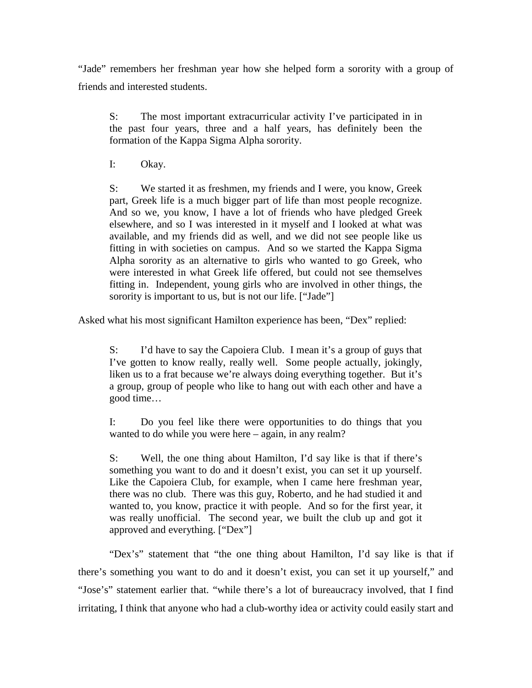"Jade" remembers her freshman year how she helped form a sorority with a group of friends and interested students.

S: The most important extracurricular activity I've participated in in the past four years, three and a half years, has definitely been the formation of the Kappa Sigma Alpha sorority.

I: Okay.

S: We started it as freshmen, my friends and I were, you know, Greek part, Greek life is a much bigger part of life than most people recognize. And so we, you know, I have a lot of friends who have pledged Greek elsewhere, and so I was interested in it myself and I looked at what was available, and my friends did as well, and we did not see people like us fitting in with societies on campus. And so we started the Kappa Sigma Alpha sorority as an alternative to girls who wanted to go Greek, who were interested in what Greek life offered, but could not see themselves fitting in. Independent, young girls who are involved in other things, the sorority is important to us, but is not our life. ["Jade"]

Asked what his most significant Hamilton experience has been, "Dex" replied:

S: I'd have to say the Capoiera Club. I mean it's a group of guys that I've gotten to know really, really well. Some people actually, jokingly, liken us to a frat because we're always doing everything together. But it's a group, group of people who like to hang out with each other and have a good time…

I: Do you feel like there were opportunities to do things that you wanted to do while you were here – again, in any realm?

S: Well, the one thing about Hamilton, I'd say like is that if there's something you want to do and it doesn't exist, you can set it up yourself. Like the Capoiera Club, for example, when I came here freshman year, there was no club. There was this guy, Roberto, and he had studied it and wanted to, you know, practice it with people. And so for the first year, it was really unofficial. The second year, we built the club up and got it approved and everything. ["Dex"]

"Dex's" statement that "the one thing about Hamilton, I'd say like is that if there's something you want to do and it doesn't exist, you can set it up yourself," and "Jose's" statement earlier that. "while there's a lot of bureaucracy involved, that I find irritating, I think that anyone who had a club-worthy idea or activity could easily start and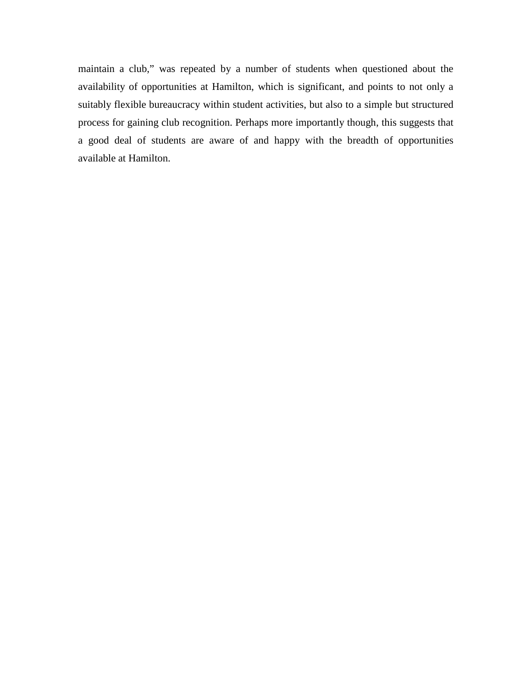maintain a club," was repeated by a number of students when questioned about the availability of opportunities at Hamilton, which is significant, and points to not only a suitably flexible bureaucracy within student activities, but also to a simple but structured process for gaining club recognition. Perhaps more importantly though, this suggests that a good deal of students are aware of and happy with the breadth of opportunities available at Hamilton.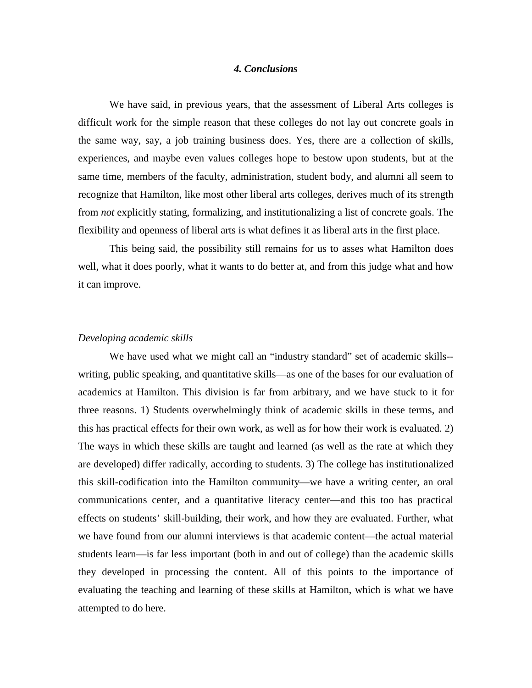### *4. Conclusions*

 We have said, in previous years, that the assessment of Liberal Arts colleges is difficult work for the simple reason that these colleges do not lay out concrete goals in the same way, say, a job training business does. Yes, there are a collection of skills, experiences, and maybe even values colleges hope to bestow upon students, but at the same time, members of the faculty, administration, student body, and alumni all seem to recognize that Hamilton, like most other liberal arts colleges, derives much of its strength from *not* explicitly stating, formalizing, and institutionalizing a list of concrete goals. The flexibility and openness of liberal arts is what defines it as liberal arts in the first place.

 This being said, the possibility still remains for us to asses what Hamilton does well, what it does poorly, what it wants to do better at, and from this judge what and how it can improve.

#### *Developing academic skills*

We have used what we might call an "industry standard" set of academic skills-writing, public speaking, and quantitative skills—as one of the bases for our evaluation of academics at Hamilton. This division is far from arbitrary, and we have stuck to it for three reasons. 1) Students overwhelmingly think of academic skills in these terms, and this has practical effects for their own work, as well as for how their work is evaluated. 2) The ways in which these skills are taught and learned (as well as the rate at which they are developed) differ radically, according to students. 3) The college has institutionalized this skill-codification into the Hamilton community—we have a writing center, an oral communications center, and a quantitative literacy center—and this too has practical effects on students' skill-building, their work, and how they are evaluated. Further, what we have found from our alumni interviews is that academic content—the actual material students learn—is far less important (both in and out of college) than the academic skills they developed in processing the content. All of this points to the importance of evaluating the teaching and learning of these skills at Hamilton, which is what we have attempted to do here.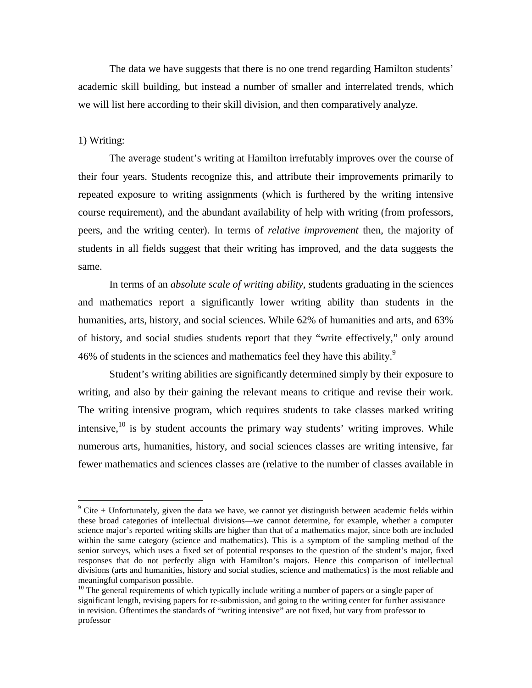The data we have suggests that there is no one trend regarding Hamilton students' academic skill building, but instead a number of smaller and interrelated trends, which we will list here according to their skill division, and then comparatively analyze.

#### 1) Writing:

-

 The average student's writing at Hamilton irrefutably improves over the course of their four years. Students recognize this, and attribute their improvements primarily to repeated exposure to writing assignments (which is furthered by the writing intensive course requirement), and the abundant availability of help with writing (from professors, peers, and the writing center). In terms of *relative improvement* then, the majority of students in all fields suggest that their writing has improved, and the data suggests the same.

 In terms of an *absolute scale of writing ability*, students graduating in the sciences and mathematics report a significantly lower writing ability than students in the humanities, arts, history, and social sciences. While 62% of humanities and arts, and 63% of history, and social studies students report that they "write effectively," only around 46% of students in the sciences and mathematics feel they have this ability.<sup>9</sup>

 Student's writing abilities are significantly determined simply by their exposure to writing, and also by their gaining the relevant means to critique and revise their work. The writing intensive program, which requires students to take classes marked writing intensive,  $^{10}$  is by student accounts the primary way students' writing improves. While numerous arts, humanities, history, and social sciences classes are writing intensive, far fewer mathematics and sciences classes are (relative to the number of classes available in

 $9$  Cite + Unfortunately, given the data we have, we cannot yet distinguish between academic fields within these broad categories of intellectual divisions—we cannot determine, for example, whether a computer science major's reported writing skills are higher than that of a mathematics major, since both are included within the same category (science and mathematics). This is a symptom of the sampling method of the senior surveys, which uses a fixed set of potential responses to the question of the student's major, fixed responses that do not perfectly align with Hamilton's majors. Hence this comparison of intellectual divisions (arts and humanities, history and social studies, science and mathematics) is the most reliable and meaningful comparison possible.

 $10$  The general requirements of which typically include writing a number of papers or a single paper of significant length, revising papers for re-submission, and going to the writing center for further assistance in revision. Oftentimes the standards of "writing intensive" are not fixed, but vary from professor to professor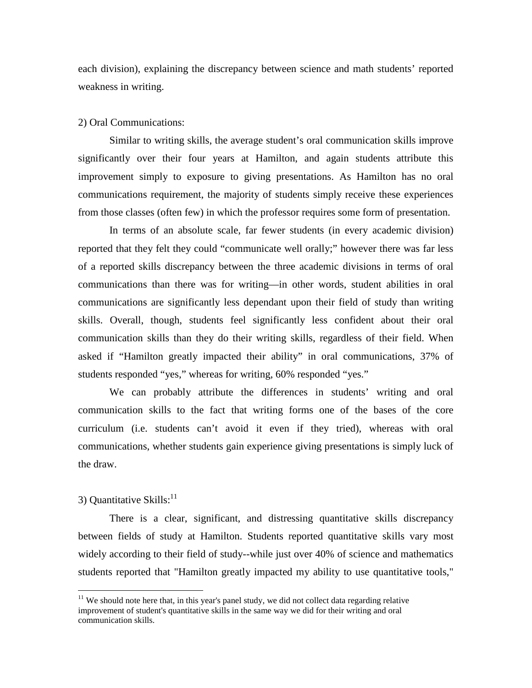each division), explaining the discrepancy between science and math students' reported weakness in writing.

### 2) Oral Communications:

 Similar to writing skills, the average student's oral communication skills improve significantly over their four years at Hamilton, and again students attribute this improvement simply to exposure to giving presentations. As Hamilton has no oral communications requirement, the majority of students simply receive these experiences from those classes (often few) in which the professor requires some form of presentation.

 In terms of an absolute scale, far fewer students (in every academic division) reported that they felt they could "communicate well orally;" however there was far less of a reported skills discrepancy between the three academic divisions in terms of oral communications than there was for writing—in other words, student abilities in oral communications are significantly less dependant upon their field of study than writing skills. Overall, though, students feel significantly less confident about their oral communication skills than they do their writing skills, regardless of their field. When asked if "Hamilton greatly impacted their ability" in oral communications, 37% of students responded "yes," whereas for writing, 60% responded "yes."

 We can probably attribute the differences in students' writing and oral communication skills to the fact that writing forms one of the bases of the core curriculum (i.e. students can't avoid it even if they tried), whereas with oral communications, whether students gain experience giving presentations is simply luck of the draw.

# 3) Quantitative Skills: $^{11}$

 $\overline{a}$ 

 There is a clear, significant, and distressing quantitative skills discrepancy between fields of study at Hamilton. Students reported quantitative skills vary most widely according to their field of study--while just over 40% of science and mathematics students reported that "Hamilton greatly impacted my ability to use quantitative tools,"

 $11$  We should note here that, in this year's panel study, we did not collect data regarding relative improvement of student's quantitative skills in the same way we did for their writing and oral communication skills.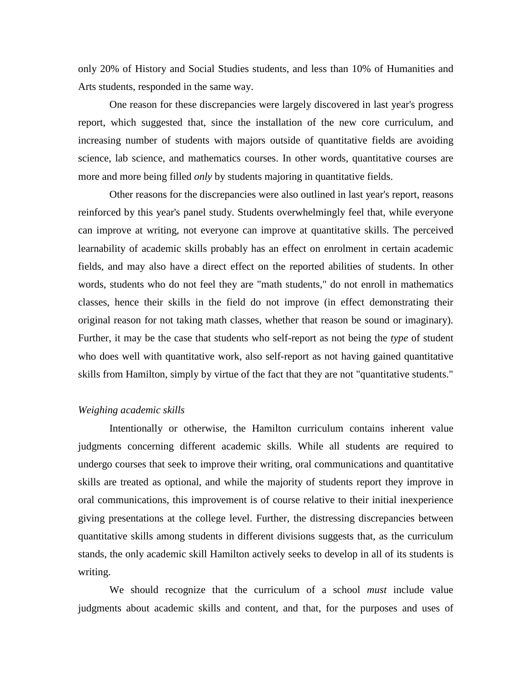only 20% of History and Social Studies students, and less than 10% of Humanities and Arts students, responded in the same way.

 One reason for these discrepancies were largely discovered in last year's progress report, which suggested that, since the installation of the new core curriculum, and increasing number of students with majors outside of quantitative fields are avoiding science, lab science, and mathematics courses. In other words, quantitative courses are more and more being filled *only* by students majoring in quantitative fields.

 Other reasons for the discrepancies were also outlined in last year's report, reasons reinforced by this year's panel study. Students overwhelmingly feel that, while everyone can improve at writing, not everyone can improve at quantitative skills. The perceived learnability of academic skills probably has an effect on enrolment in certain academic fields, and may also have a direct effect on the reported abilities of students. In other words, students who do not feel they are "math students," do not enroll in mathematics classes, hence their skills in the field do not improve (in effect demonstrating their original reason for not taking math classes, whether that reason be sound or imaginary). Further, it may be the case that students who self-report as not being the *type* of student who does well with quantitative work, also self-report as not having gained quantitative skills from Hamilton, simply by virtue of the fact that they are not "quantitative students."

#### *Weighing academic skills*

 Intentionally or otherwise, the Hamilton curriculum contains inherent value judgments concerning different academic skills. While all students are required to undergo courses that seek to improve their writing, oral communications and quantitative skills are treated as optional, and while the majority of students report they improve in oral communications, this improvement is of course relative to their initial inexperience giving presentations at the college level. Further, the distressing discrepancies between quantitative skills among students in different divisions suggests that, as the curriculum stands, the only academic skill Hamilton actively seeks to develop in all of its students is writing.

 We should recognize that the curriculum of a school *must* include value judgments about academic skills and content, and that, for the purposes and uses of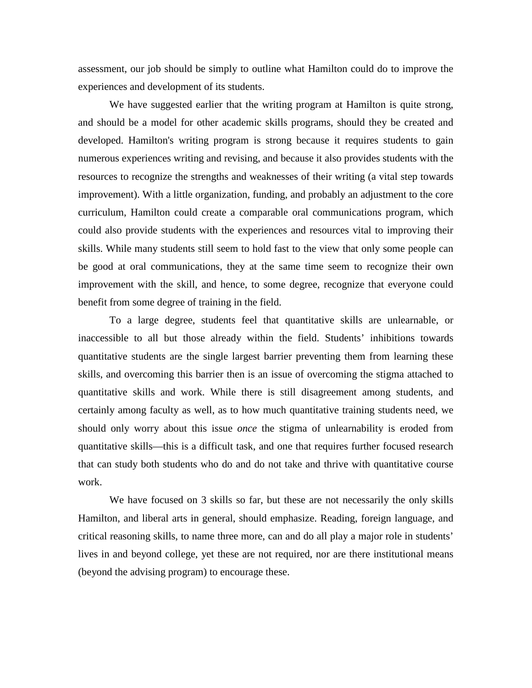assessment, our job should be simply to outline what Hamilton could do to improve the experiences and development of its students.

 We have suggested earlier that the writing program at Hamilton is quite strong, and should be a model for other academic skills programs, should they be created and developed. Hamilton's writing program is strong because it requires students to gain numerous experiences writing and revising, and because it also provides students with the resources to recognize the strengths and weaknesses of their writing (a vital step towards improvement). With a little organization, funding, and probably an adjustment to the core curriculum, Hamilton could create a comparable oral communications program, which could also provide students with the experiences and resources vital to improving their skills. While many students still seem to hold fast to the view that only some people can be good at oral communications, they at the same time seem to recognize their own improvement with the skill, and hence, to some degree, recognize that everyone could benefit from some degree of training in the field.

 To a large degree, students feel that quantitative skills are unlearnable, or inaccessible to all but those already within the field. Students' inhibitions towards quantitative students are the single largest barrier preventing them from learning these skills, and overcoming this barrier then is an issue of overcoming the stigma attached to quantitative skills and work. While there is still disagreement among students, and certainly among faculty as well, as to how much quantitative training students need, we should only worry about this issue *once* the stigma of unlearnability is eroded from quantitative skills—this is a difficult task, and one that requires further focused research that can study both students who do and do not take and thrive with quantitative course work.

We have focused on 3 skills so far, but these are not necessarily the only skills Hamilton, and liberal arts in general, should emphasize. Reading, foreign language, and critical reasoning skills, to name three more, can and do all play a major role in students' lives in and beyond college, yet these are not required, nor are there institutional means (beyond the advising program) to encourage these.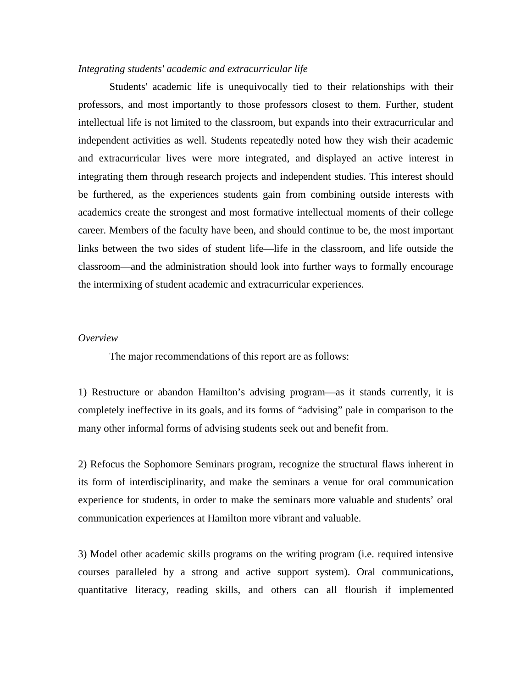#### *Integrating students' academic and extracurricular life*

 Students' academic life is unequivocally tied to their relationships with their professors, and most importantly to those professors closest to them. Further, student intellectual life is not limited to the classroom, but expands into their extracurricular and independent activities as well. Students repeatedly noted how they wish their academic and extracurricular lives were more integrated, and displayed an active interest in integrating them through research projects and independent studies. This interest should be furthered, as the experiences students gain from combining outside interests with academics create the strongest and most formative intellectual moments of their college career. Members of the faculty have been, and should continue to be, the most important links between the two sides of student life—life in the classroom, and life outside the classroom—and the administration should look into further ways to formally encourage the intermixing of student academic and extracurricular experiences.

#### *Overview*

The major recommendations of this report are as follows:

1) Restructure or abandon Hamilton's advising program—as it stands currently, it is completely ineffective in its goals, and its forms of "advising" pale in comparison to the many other informal forms of advising students seek out and benefit from.

2) Refocus the Sophomore Seminars program, recognize the structural flaws inherent in its form of interdisciplinarity, and make the seminars a venue for oral communication experience for students, in order to make the seminars more valuable and students' oral communication experiences at Hamilton more vibrant and valuable.

3) Model other academic skills programs on the writing program (i.e. required intensive courses paralleled by a strong and active support system). Oral communications, quantitative literacy, reading skills, and others can all flourish if implemented